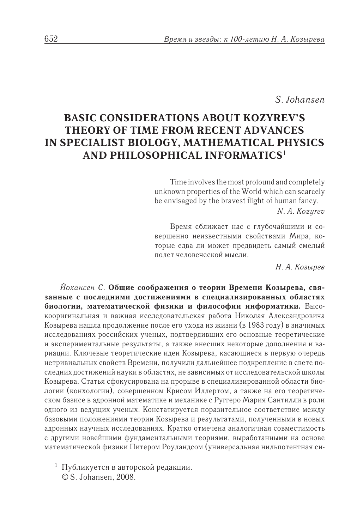*S. Johansen*

# **BASIC CONSIDERATIONS ABOUT KOZYREV'S THEORY OF TIME FROM RECENT ADVANCES IN SPECIALIST BIOLOGY, MATHEMATICAL PHYSICS AND PHILOSOPHICAL INFORMATICS**<sup>1</sup>

Time involves the most profound and completely unknown properties of the World which can scarcely be envisaged by the bravest flight of human fancy. *N. A. Kozyrev*

Время сближает нас с глубочайшими и совершенно неизвестными свойствами Мира, которые едва ли может предвидеть самый смелый полет человеческой мысли.

*Н. А. Козырев*

*Йохансен С.* **Общие соображения о теории Времени Козырева, связанные с последними достижениями в специализированных областях биологии, математической физики и философии информатики.** Высокооригинальная и важная исследовательская работа Николая Александровича Козырева нашла продолжение после его ухода из жизни (в 1983 году) в значимых исследованиях российских ученых, подтвердивших его основные теоретические и экспериментальные результаты, а также внесших некоторые дополнения и вариации. Ключевые теоретические идеи Козырева, касающиеся в первую очередь нетривиальных свойств Времени, получили дальнейшее подкрепление в свете последних достижений науки в областях, не зависимых от исследовательской школы Козырева. Статья сфокусирована на прорыве в специализированной области биологии (конхологии), совершенном Крисом Иллертом, а также на его теоретическом базисе в адронной математике и механике с Руггеро Мария Сантилли в роли одного из ведущих ученых. Констатируется поразительное соответствие между базовыми положениями теории Козырева и результатами, полученными в новых адронных научных исследованиях. Кратко отмечена аналогичная совместимость с другими новейшими фундаментальными теориями, выработанными на основе математической физики Питером Роуландсом (универсальная нильпотентная си-

<sup>1</sup> Публикуется в авторской редакции. *©* S. Johansen, 2008.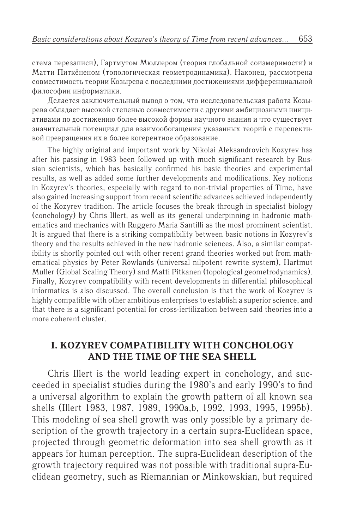стема перезаписи), Гартмутом Мюллером (теория глобальной соизмеримости) и Матти Питкёненом (топологическая геометродинамика). Наконец, рассмотрена совместимость теории Козырева с последними достижениями дифференциальной философии информатики.

Делается заключительный вывод о том, что исследовательская работа Козырева обладает высокой степенью совместимости с другими амбициозными инициативами по достижению более высокой формы научного знания и что существует значительный потенциал для взаимообогащения указанных теорий с перспективой превращения их в более когерентное образование.

The highly original and important work by Nikolai Aleksandrovich Kozyrev has after his passing in 1983 been followed up with much significant research by Russian scientists, which has basically confirmed his basic theories and experimental results, as well as added some further developments and modifications. Key notions in Kozyrev's theories, especially with regard to non-trivial properties of Time, have also gained increasing support from recent scientific advances achieved independently of the Kozyrev tradition. The article focuses the break through in specialist biology (conchology) by Chris Illert, as well as its general underpinning in hadronic mathematics and mechanics with Ruggero Maria Santilli as the most prominent scientist. It is argued that there is a striking compatibility between basic notions in Kozyrev's theory and the results achieved in the new hadronic sciences. Also, a similar compatibility is shortly pointed out with other recent grand theories worked out from mathematical physics by Peter Rowlands (universal nilpotent rewrite system), Hartmut Muller (Global Scaling Theory) and Matti Pitkanen (topological geometrodynamics). Finally, Kozyrev compatibility with recent developments in differential philosophical informatics is also discussed. The overall conclusion is that the work of Kozyrev is highly compatible with other ambitious enterprises to establish a superior science, and that there is a significant potential for cross-fertilization between said theories into a more coherent cluster.

#### **I. KOZYREV COMPATIBILITY WITH CONCHOLOGY AND THE TIME OF THE SEA SHELL**

Chris Illert is the world leading expert in conchology, and succeeded in specialist studies during the 1980's and early 1990's to find a universal algorithm to explain the growth pattern of all known sea shells (Illert 1983, 1987, 1989, 1990a,b, 1992, 1993, 1995, 1995b). This modeling of sea shell growth was only possible by a primary description of the growth trajectory in a certain supra-Euclidean space, projected through geometric deformation into sea shell growth as it appears for human perception. The supra-Euclidean description of the growth trajectory required was not possible with traditional supra-Euclidean geometry, such as Riemannian or Minkowskian, but required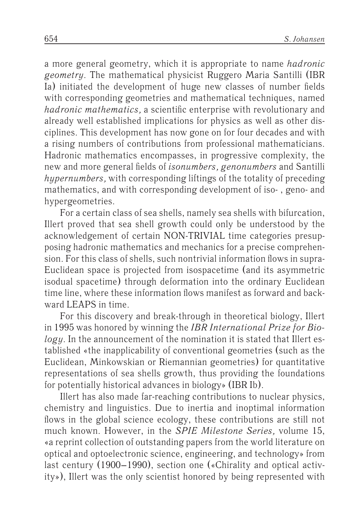a more general geometry, which it is appropriate to name *hadronic geometry.* The mathematical physicist Ruggero Maria Santilli (IBR Ia) initiated the development of huge new classes of number fields with corresponding geometries and mathematical techniques, named *hadronic mathematics, a scientific enterprise with revolutionary and* already well established implications for physics as well as other disciplines. This development has now gone on for four decades and with a rising numbers of contributions from professional mathematicians. Hadronic mathematics encompasses, in progressive complexity, the new and more general fields of *isonumbers*, genonumbers and Santilli *hypernumbers,* with corresponding liftings of the totality of preceding mathematics, and with corresponding development of iso- , geno- and hypergeometries.

For a certain class of sea shells, namely sea shells with bifurcation, Illert proved that sea shell growth could only be understood by the acknowledgement of certain NON-TRIVIAL time categories presupposing hadronic mathematics and mechanics for a precise comprehension. For this class of shells, such nontrivial information flows in supra-Euclidean space is projected from isospacetime (and its asymmetric isodual spacetime) through deformation into the ordinary Euclidean time line, where these information flows manifest as forward and backward LEAPS in time.

For this discovery and break-through in theoretical biology, Illert in 1995 was honored by winning the *IBR International Prize for Biology*. In the announcement of the nomination it is stated that Illert established «the inapplicability of conventional geometries (such as the Euclidean, Minkowskian or Riemannian geometries) for quantitative representations of sea shells growth, thus providing the foundations for potentially historical advances in biology» (IBR Ib).

Illert has also made far-reaching contributions to nuclear physics, chemistry and linguistics. Due to inertia and inoptimal information flows in the global science ecology, these contributions are still not much known. However, in the *SPIE Milestone Series,* volume 15, «a reprint collection of outstanding papers from the world literature on optical and optoelectronic science, engineering, and technology» from last century (1900–1990), section one («Chirality and optical activity»), Illert was the only scientist honored by being represented with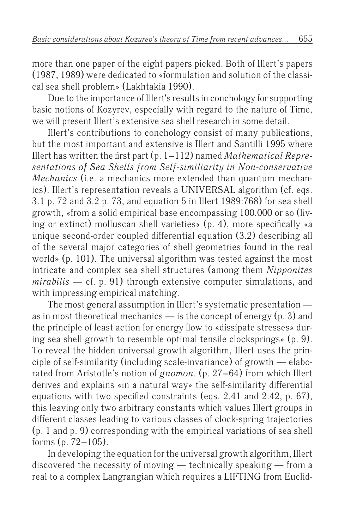more than one paper of the eight papers picked. Both of Illert's papers (1987, 1989) were dedicated to «formulation and solution of the classical sea shell problem» (Lakhtakia 1990).

Due to the importance of Illert's results in conchology for supporting basic notions of Kozyrev, especially with regard to the nature of Time, we will present Illert's extensive sea shell research in some detail.

Illert's contributions to conchology consist of many publications, but the most important and extensive is Illert and Santilli 1995 where Illert has written the first part (p. 1–112) named *Mathematical Representations of Sea Shells from Self-similiarity in Non-conservative Mechanics* (i.e. a mechanics more extended than quantum mechanics). Illert's representation reveals a UNIVERSAL algorithm (cf. eqs. 3.1 p. 72 and 3.2 p. 73, and equation 5 in Illert 1989:768) for sea shell growth, «from a solid empirical base encompassing 100.000 or so (living or extinct) molluscan shell varieties» (p. 4), more specifically «a unique second-order coupled differential equation (3.2) describing all of the several major categories of shell geometries found in the real world» (p. 101). The universal algorithm was tested against the most intricate and complex sea shell structures (among them *Nipponites mirabilis* — cf. p. 91) through extensive computer simulations, and with impressing empirical matching.

The most general assumption in Illert's systematic presentation as in most theoretical mechanics  $-$  is the concept of energy (p. 3) and the principle of least action for energy flow to «dissipate stresses» during sea shell growth to resemble optimal tensile clocksprings» (p. 9). To reveal the hidden universal growth algorithm, Illert uses the principle of self-similarity (including scale-invariance) of growth — elaborated from Aristotle's notion of *gnomon.* (p. 27–64) from which Illert derives and explains «in a natural way» the self-similarity differential equations with two specified constraints (eqs. 2.41 and 2.42, p. 67), this leaving only two arbitrary constants which values Illert groups in different classes leading to various classes of clock-spring trajectories (p. 1 and p. 9) corresponding with the empirical variations of sea shell forms (p. 72–105).

In developing the equation for the universal growth algorithm, Illert discovered the necessity of moving — technically speaking — from a real to a complex Langrangian which requires a LIFTING from Euclid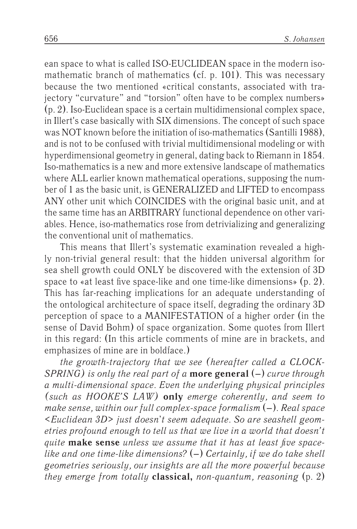ean space to what is called ISO-EUCLIDEAN space in the modern isomathematic branch of mathematics (cf. p. 101). This was necessary because the two mentioned «critical constants, associated with trajectory "curvature" and "torsion" often have to be complex numbers» (p. 2). Iso-Euclidean space is a certain multidimensional complex space, in Illert's case basically with SIX dimensions. The concept of such space was NOT known before the initiation of iso-mathematics (Santilli 1988), and is not to be confused with trivial multidimensional modeling or with hyperdimensional geometry in general, dating back to Riemann in 1854. Iso-mathematics is a new and more extensive landscape of mathematics where ALL earlier known mathematical operations, supposing the number of 1 as the basic unit, is GENERALIZED and LIFTED to encompass ANY other unit which COINCIDES with the original basic unit, and at the same time has an ARBITRARY functional dependence on other variables. Hence, iso-mathematics rose from detrivializing and generalizing the conventional unit of mathematics.

This means that Illert's systematic examination revealed a highly non-trivial general result: that the hidden universal algorithm for sea shell growth could ONLY be discovered with the extension of 3D space to «at least five space-like and one time-like dimensions»  $(p, 2)$ . This has far-reaching implications for an adequate understanding of the ontological architecture of space itself, degrading the ordinary 3D perception of space to a MANIFESTATION of a higher order (in the sense of David Bohm) of space organization. Some quotes from Illert in this regard: (In this article comments of mine are in brackets, and emphasizes of mine are in boldface.)

*the growth-trajectory that we see (hereafter called a CLOCK-SPRING) is only the real part of a* **more general** (–) *curve through a multi-dimensional space. Even the underlying physical principles (such as HOOKE'S LAW)* **only** *emerge coherently, and seem to make sense, within our full complex-space formalism* (–). *Real space <Euclidean 3D> just doesn*'*t seem adequate. So are seashell geometries profound enough to tell us that we live in a world that doesn't quite* **make sense** *unless* we assume that it has at least five space*like and one time-like dimensions?* (–) *Certainly, if we do take shell geometries seriously, our insights are all the more powerful because they emerge from totally* **classical,** *non-quantum, reasoning* (p. 2)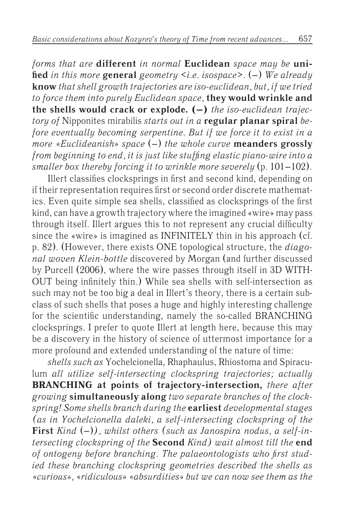*forms that are* **different** *in normal* **Euclidean** *space may be* **uni**fied *in this more general geometry*  $\leq i.e.$  *isospace* $> (-1)$  *We already* **know** *that shell growth trajectories are iso-euclidean, but, if we tried to force them into purely Euclidean space,* **they would wrinkle and the shells would crack or explode. (–)** *the iso-euclidean trajectory of* Nipponites mirabilis *starts out in a* **regular planar spiral** *before eventually becoming serpentine. But if we force it to exist in a more «Euclideanish» space* (–) *the whole curve* **meanders grossly**  *from beginning to end, it is just like stuffing elastic piano-wire into a smaller box thereby forcing it to wrinkle more severely* (p. 101–102).

Illert classifies clocksprings in first and second kind, depending on if their representation requires first or second order discrete mathematics. Even quite simple sea shells, classified as clocksprings of the first kind, can have a growth trajectory where the imagined «wire» may pass through itself. Illert argues this to not represent any crucial difficulty since the «wire» is imagined as INFINITELY thin in his approach (cf. p. 82). (However, there exists ONE topological structure, the *diagonal woven Klein-bottle* discovered by Morgan (and further discussed by Purcell (2006), where the wire passes through itself in 3D WITH-OUT being infinitely thin.) While sea shells with self-intersection as such may not be too big a deal in Illert's theory, there is a certain subclass of such shells that poses a huge and highly interesting challenge for the scientific understanding, namely the so-called BRANCHING clocksprings. I prefer to quote Illert at length here, because this may be a discovery in the history of science of uttermost importance for a more profound and extended understanding of the nature of time:

*shells such as* Yochelcionella, Rhaphaulus, Rhiostoma and Spiraculum *all utilize self-intersecting clockspring trajectories; actually*  **BRANCHING at points of trajectory-intersection,** *there after growing* **simultaneously along** *two separate branches of the clockspring! Some shells branch during the* **earliest** *developmental stages (as in Yochelcionella daleki, a self-intersecting clockspring of the*  **First** *Kind* (–)*), whilst others (such as Janospira nodus, a self-intersecting clockspring of the* **Second** *Kind) wait almost till the* **end**  of ontogeny before branching. The palaeontologists who first stud*ied these branching clockspring geometries described the shells as «curious», «ridiculous» «absurdities» but we can now see them as the*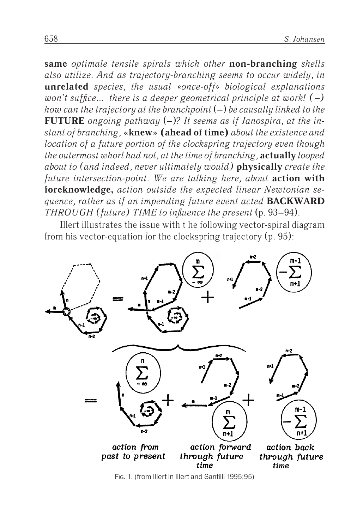**same** *optimale tensile spirals which other* **non-branching** *shells also utilize. And as trajectory-branching seems to occur widely, in*  **unrelated** *species, the usual «once-off» biological explanations won't suffice... there is a deeper geometrical principle at work!*  $(-)$ *how can the trajectory at the branchpoint* (–) *be causally linked to the*  **FUTURE** *ongoing pathway* (–)*? It seems as if Janospira, at the instant of branching,* **«knew» (ahead of time)** *about the existence and location of a future portion of the clockspring trajectory even though the outermost whorl had not, at the time of branching,* **actually** *looped about to (and indeed, never ultimately would)* **physically** *create the future intersection-point. We are talking here, about* **action with foreknowledge,** *action outside the expected linear Newtonian sequence, rather as if an impending future event acted* **BACKWARD**  *THROUGH (future) TIME to influence the present (p. 93-94).* 

Illert illustrates the issue with t he following vector-spiral diagram from his vector-equation for the clockspring trajectory (p. 95):



Fig. 1. (from Illert in Illert and Santilli 1995:95)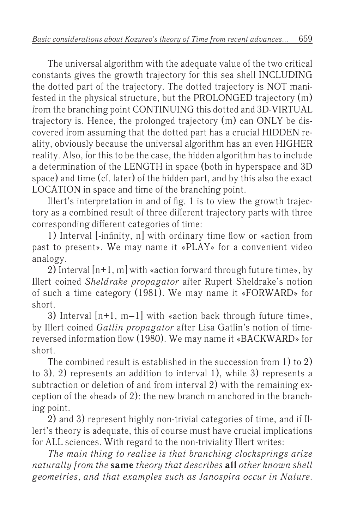The universal algorithm with the adequate value of the two critical constants gives the growth trajectory for this sea shell INCLUDING the dotted part of the trajectory. The dotted trajectory is NOT manifested in the physical structure, but the PROLONGED trajectory (m) from the branching point CONTINUING this dotted and 3D-VIRTUAL trajectory is. Hence, the prolonged trajectory (m) can ONLY be discovered from assuming that the dotted part has a crucial HIDDEN reality, obviously because the universal algorithm has an even HIGHER reality. Also, for this to be the case, the hidden algorithm has to include a determination of the LENGTH in space (both in hyperspace and 3D space) and time (cf. later) of the hidden part, and by this also the exact LOCATION in space and time of the branching point.

Illert's interpretation in and of fig.  $1$  is to view the growth trajectory as a combined result of three different trajectory parts with three corresponding different categories of time:

1) Interval  $[-\infty, n]$  with ordinary time flow or «action from past to present». We may name it «PLAY» for a convenient video analogy.

2) Interval [n+1, m] with «action forward through future time», by Illert coined *Sheldrake propagator* after Rupert Sheldrake's notion of such a time category (1981). We may name it «FORWARD» for short.

3) Interval [n+1, m–1] with «action back through future time», by Illert coined *Gatlin propagator* after Lisa Gatlin's notion of timereversed information flow (1980). We may name it «BACKWARD» for short.

The combined result is established in the succession from 1) to 2) to 3). 2) represents an addition to interval 1), while 3) represents a subtraction or deletion of and from interval 2) with the remaining exception of the «head» of 2): the new branch m anchored in the branching point.

2) and 3) represent highly non-trivial categories of time, and if Illert's theory is adequate, this of course must have crucial implications for ALL sciences. With regard to the non-triviality Illert writes:

*The main thing to realize is that branching clocksprings arize naturally from the* **same** *theory that describes* **all** *other known shell geometries, and that examples such as Janospira occur in Nature.*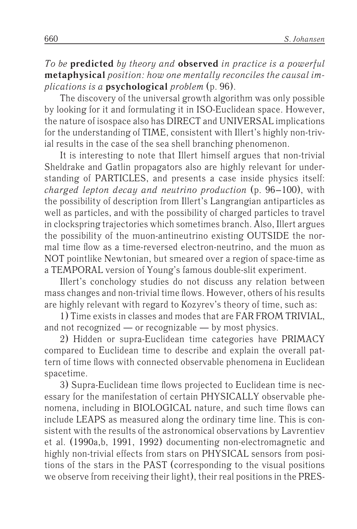*To be* **predicted** *by theory and* **observed** *in practice is a powerful*  **metaphysical** *position: how one mentally reconciles the causal implications is a* **psychological** *problem* (p. 96).

The discovery of the universal growth algorithm was only possible by looking for it and formulating it in ISO-Euclidean space. However, the nature of isospace also has DIRECT and UNIVERSAL implications for the understanding of TIME, consistent with Illert's highly non-trivial results in the case of the sea shell branching phenomenon.

It is interesting to note that Illert himself argues that non-trivial Sheldrake and Gatlin propagators also are highly relevant for understanding of PARTICLES, and presents a case inside physics itself: *charged lepton decay and neutrino production* (p. 96–100), with the possibility of description from Illert's Langrangian antiparticles as well as particles, and with the possibility of charged particles to travel in clockspring trajectories which sometimes branch. Also, Illert argues the possibility of the muon-antineutrino existing OUTSIDE the normal time flow as a time-reversed electron-neutrino, and the muon as NOT pointlike Newtonian, but smeared over a region of space-time as a TEMPORAL version of Young's famous double-slit experiment.

Illert's conchology studies do not discuss any relation between mass changes and non-trivial time flows. However, others of his results are highly relevant with regard to Kozyrev's theory of time, such as:

1) Time exists in classes and modes that are FAR FROM TRIVIAL, and not recognized — or recognizable — by most physics.

2) Hidden or supra-Euclidean time categories have PRIMACY compared to Euclidean time to describe and explain the overall pattern of time flows with connected observable phenomena in Euclidean spacetime.

3) Supra-Euclidean time flows projected to Euclidean time is necessary for the manifestation of certain PHYSICALLY observable phenomena, including in BIOLOGICAL nature, and such time flows can include LEAPS as measured along the ordinary time line. This is consistent with the results of the astronomical observations by Lavrentiev et al. (1990a,b, 1991, 1992) documenting non-electromagnetic and highly non-trivial effects from stars on PHYSICAL sensors from positions of the stars in the PAST (corresponding to the visual positions we observe from receiving their light), their real positions in the PRES-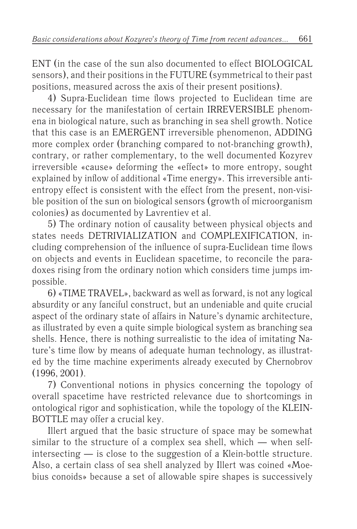ENT (in the case of the sun also documented to effect BIOLOGICAL sensors), and their positions in the FUTURE (symmetrical to their past positions, measured across the axis of their present positions).

4) Supra-Euclidean time flows projected to Euclidean time are necessary for the manifestation of certain IRREVERSIBLE phenomena in biological nature, such as branching in sea shell growth. Notice that this case is an EMERGENT irreversible phenomenon, ADDING more complex order (branching compared to not-branching growth), contrary, or rather complementary, to the well documented Kozyrev irreversible «cause» deforming the «effect» to more entropy, sought explained by inflow of additional «Time energy». This irreversible antientropy effect is consistent with the effect from the present, non-visible position of the sun on biological sensors (growth of microorganism colonies) as documented by Lavrentiev et al.

5) The ordinary notion of causality between physical objects and states needs DETRIVIALIZATION and COMPLEXIFICATION, including comprehension of the influence of supra-Euclidean time flows on objects and events in Euclidean spacetime, to reconcile the paradoxes rising from the ordinary notion which considers time jumps impossible.

6) «TIME TRAVEL», backward as well as forward, is not any logical absurdity or any fanciful construct, but an undeniable and quite crucial aspect of the ordinary state of affairs in Nature's dynamic architecture, as illustrated by even a quite simple biological system as branching sea shells. Hence, there is nothing surrealistic to the idea of imitating Nature's time flow by means of adequate human technology, as illustrated by the time machine experiments already executed by Chernobrov (1996, 2001).

7) Conventional notions in physics concerning the topology of overall spacetime have restricted relevance due to shortcomings in ontological rigor and sophistication, while the topology of the KLEIN-BOTTLE may offer a crucial key.

Illert argued that the basic structure of space may be somewhat similar to the structure of a complex sea shell, which — when selfintersecting — is close to the suggestion of a Klein-bottle structure. Also, a certain class of sea shell analyzed by Illert was coined «Moebius conoids» because a set of allowable spire shapes is successively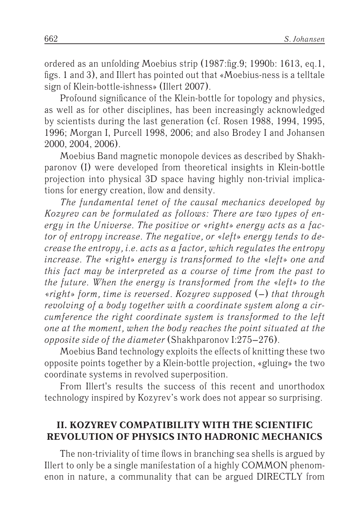ordered as an unfolding Moebius strip (1987:fig.9; 1990b: 1613, eq.1, figs. 1 and 3), and Illert has pointed out that «Moebius-ness is a telltale sign of Klein-bottle-ishness» (Illert 2007).

Profound significance of the Klein-bottle for topology and physics, as well as for other disciplines, has been increasingly acknowledged by scientists during the last generation (cf. Rosen 1988, 1994, 1995, 1996; Morgan I, Purcell 1998, 2006; and also Brodey I and Johansen 2000, 2004, 2006).

Moebius Band magnetic monopole devices as described by Shakhparonov (I) were developed from theoretical insights in Klein-bottle projection into physical 3D space having highly non-trivial implications for energy creation, flow and density.

*The fundamental tenet of the causal mechanics developed by Kozyrev can be formulated as follows: There are two types of energy in the Universe. The positive or «right» energy acts as a factor of entropy increase. The negative, or «left» energy tends to decrease the entropy, i.e. acts as a factor, which regulates the entropy increase. The «right» energy is transformed to the «left» one and this fact may be interpreted as a course of time from the past to the future. When the energy is transformed from the «left» to the «right» form, time is reversed. Kozyrev supposed* (–) *that through revolving of a body together with a coordinate system along a circumference the right coordinate system is transformed to the left one at the moment, when the body reaches the point situated at the opposite side of the diameter* (Shakhparonov I:275–276).

Moebius Band technology exploits the effects of knitting these two opposite points together by a Klein-bottle projection, «gluing» the two coordinate systems in revolved superposition.

From Illert's results the success of this recent and unorthodox technology inspired by Kozyrev's work does not appear so surprising.

#### **II. KOZYREV COMPATIBILITY WITH THE SCIENTIFIC REVOLUTION OF PHYSICS INTO HADRONIC MECHANICS**

The non-triviality of time flows in branching sea shells is argued by Illert to only be a single manifestation of a highly COMMON phenomenon in nature, a communality that can be argued DIRECTLY from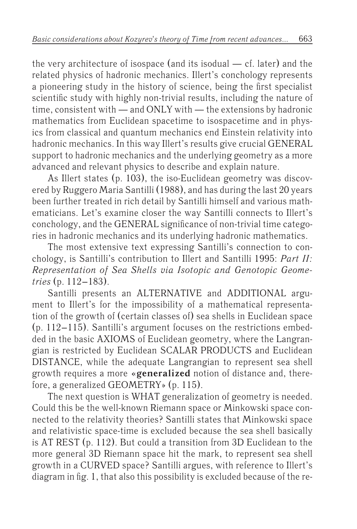the very architecture of isospace (and its isodual — cf. later) and the related physics of hadronic mechanics. Illert's conchology represents a pioneering study in the history of science, being the first specialist scientific study with highly non-trivial results, including the nature of time, consistent with — and ONLY with — the extensions by hadronic mathematics from Euclidean spacetime to isospacetime and in physics from classical and quantum mechanics end Einstein relativity into hadronic mechanics. In this way Illert's results give crucial GENERAL support to hadronic mechanics and the underlying geometry as a more advanced and relevant physics to describe and explain nature.

As Illert states (p. 103), the iso-Euclidean geometry was discovered by Ruggero Maria Santilli (1988), and has during the last 20 years been further treated in rich detail by Santilli himself and various mathematicians. Let's examine closer the way Santilli connects to Illert's conchology, and the GENERAL significance of non-trivial time categories in hadronic mechanics and its underlying hadronic mathematics.

The most extensive text expressing Santilli's connection to conchology, is Santilli's contribution to Illert and Santilli 1995: *Part II: Representation of Sea Shells via Isotopic and Genotopic Geometries* (p. 112–183).

Santilli presents an ALTERNATIVE and ADDITIONAL argument to Illert's for the impossibility of a mathematical representation of the growth of (certain classes of) sea shells in Euclidean space (p. 112–115). Santilli's argument focuses on the restrictions embedded in the basic AXIOMS of Euclidean geometry, where the Langrangian is restricted by Euclidean SCALAR PRODUCTS and Euclidean DISTANCE, while the adequate Langrangian to represent sea shell growth requires a more **«generalized** notion of distance and, therefore, a generalized GEOMETRY» (p. 115).

The next question is WHAT generalization of geometry is needed. Could this be the well-known Riemann space or Minkowski space connected to the relativity theories? Santilli states that Minkowski space and relativistic space-time is excluded because the sea shell basically is AT REST (p. 112). But could a transition from 3D Euclidean to the more general 3D Riemann space hit the mark, to represent sea shell growth in a CURVED space? Santilli argues, with reference to Illert's  $diagram$  in fig. 1, that also this possibility is excluded because of the re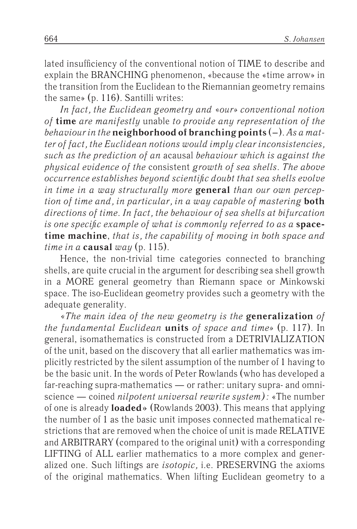lated insufficiency of the conventional notion of TIME to describe and explain the BRANCHING phenomenon, «because the «time arrow» in the transition from the Euclidean to the Riemannian geometry remains the same» (p. 116). Santilli writes:

*In fact, the Euclidean geometry and «our» conventional notion of* **time** *are manifestly* unable *to provide any representation of the behaviour in the* **neighborhood of branching points** (–). *As a matter of fact, the Euclidean notions would imply clear inconsistencies, such as the prediction of an* acausal *behaviour which is against the physical evidence of the* consistent *growth of sea shells. The above occurrence establishes beyond scientific doubt that sea shells evolve in time in a way structurally more* **general** *than our own perception of time and, in particular, in a way capable of mastering* **both**  *directions of time. In fact, the behaviour of sea shells at bifurcation is one specific example of what is commonly referred to as a* **spacetime machine**, *that is, the capability of moving in both space and time in a* **causal** *way* (p. 115).

Hence, the non-trivial time categories connected to branching shells, are quite crucial in the argument for describing sea shell growth in a MORE general geometry than Riemann space or Minkowski space. The iso-Euclidean geometry provides such a geometry with the adequate generality.

*«The main idea of the new geometry is the* **generalization** *of the fundamental Euclidean* **units** *of space and time»* (p. 117). In general, isomathematics is constructed from a DETRIVIALIZATION of the unit, based on the discovery that all earlier mathematics was implicitly restricted by the silent assumption of the number of 1 having to be the basic unit. In the words of Peter Rowlands (who has developed a far-reaching supra-mathematics — or rather: unitary supra- and omniscience — coined *nilpotent universal rewrite system):* «The number of one is already **loaded»** (Rowlands 2003). This means that applying the number of 1 as the basic unit imposes connected mathematical restrictions that are removed when the choice of unit is made RELATIVE and ARBITRARY (compared to the original unit) with a corresponding LIFTING of ALL earlier mathematics to a more complex and generalized one. Such liftings are *isotopic,* i.e. PRESERVING the axioms of the original mathematics. When lifting Euclidean geometry to a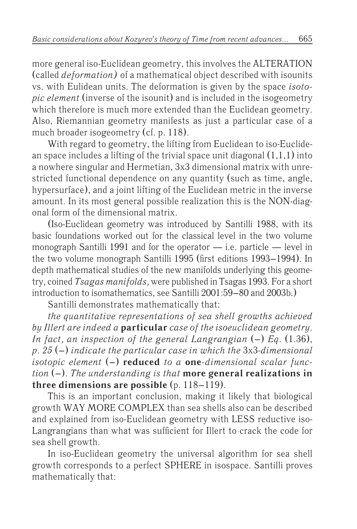more general iso-Euclidean geometry, this involves the ALTERATION (called *deformation)* of a mathematical object described with isounits vs. with Eulidean units. The deformation is given by the space *isotopic element* (inverse of the isounit) and is included in the isogeometry which therefore is much more extended than the Euclidean geometry. Also, Riemannian geometry manifests as just a particular case of a much broader isogeometry (cf. p. 118).

With regard to geometry, the lifting from Euclidean to iso-Euclidean space includes a lifting of the trivial space unit diagonal  $(1,1,1)$  into a nowhere singular and Hermetian, 3x3 dimensional matrix with unrestricted functional dependence on any quantity (such as time, angle, hypersurface), and a joint lifting of the Euclidean metric in the inverse amount. In its most general possible realization this is the NON-diagonal form of the dimensional matrix.

(Iso-Euclidean geometry was introduced by Santilli 1988, with its basic foundations worked out for the classical level in the two volume monograph Santilli 1991 and for the operator — i.e. particle — level in the two volume monograph Santilli 1995 (first editions 1993-1994). In depth mathematical studies of the new manifolds underlying this geometry, coined *Tsagas manifolds,* were published in Tsagas 1993. For a short introduction to isomathematics, see Santilli 2001:59–80 and 2003b.)

Santilli demonstrates mathematically that:

*the quantitative representations of sea shell growths achieved by Illert are indeed a* **particular** *case of the isoeuclidean geometry. In fact, an inspection of the general Langrangian*  $(-)$  *Eq.* (1.36), *p. 25* (–) *indicate the particular case in which the* 3x3-*dimensional isotopic element* (–) **reduced** *to a* **one***-dimensional scalar function* (–). *The understanding is that* **more general realizations in three dimensions are possible** (p. 118–119).

This is an important conclusion, making it likely that biological growth WAY MORE COMPLEX than sea shells also can be described and explained from iso-Euclidean geometry with LESS reductive iso-Langrangians than what was sufficient for Illert to crack the code for sea shell growth.

In iso-Euclidean geometry the universal algorithm for sea shell growth corresponds to a perfect SPHERE in isospace. Santilli proves mathematically that: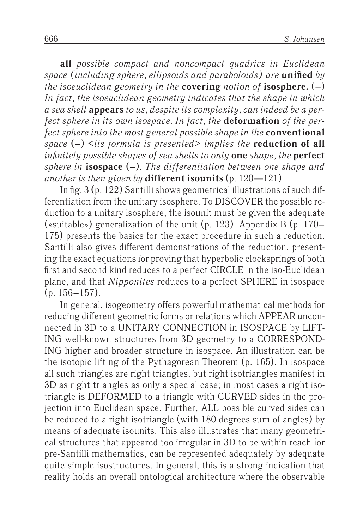**all** *possible compact and noncompact quadrics in Euclidean space (including sphere, ellipsoids and paraboloids) are unified by the isoeuclidean geometry in the* **covering** *notion of* **isosphere.** (–) *In fact, the isoeuclidean geometry indicates that the shape in which a sea shell* **appears** *to us, despite its complexity, can indeed be a perfect sphere in its own isospace. In fact, the* **deformation** *of the perfect sphere into the most general possible shape in the* **conventional**  *space* (–) *<its formula is presented> implies the* **reduction of all**  *infi nitely possible shapes of sea shells to only* **one** *shape, the* **perfect**  *sphere in* **isospace** (–). *The differentiation between one shape and another is then given by* **different isounits** (p. 120—121).

In fig. 3 (p. 122) Santilli shows geometrical illustrations of such differentiation from the unitary isosphere. To DISCOVER the possible reduction to a unitary isosphere, the isounit must be given the adequate («suitable») generalization of the unit (p. 123). Appendix В (p. 170– 175) presents the basics for the exact procedure in such a reduction. Santilli also gives different demonstrations of the reduction, presenting the exact equations for proving that hyperbolic clocksprings of both first and second kind reduces to a perfect CIRCLE in the iso-Euclidean plane, and that *Nipponites* reduces to a perfect SPHERE in isospace (p. 156–157).

In general, isogeometry offers powerful mathematical methods for reducing different geometric forms or relations which APPEAR unconnected in 3D to a UNITARY CONNECTION in ISOSPACE by LIFT-ING well-known structures from 3D geometry to a CORRESPOND-ING higher and broader structure in isospace. An illustration can be the isotopic lifting of the Pythagorean Theorem (p. 165). In isospace all such triangles are right triangles, but right isotriangles manifest in 3D as right triangles as only a special case; in most cases a right isotriangle is DEFORMED to a triangle with CURVED sides in the projection into Euclidean space. Further, ALL possible curved sides can be reduced to a right isotriangle (with 180 degrees sum of angles) by means of adequate isounits. This also illustrates that many geometrical structures that appeared too irregular in 3D to be within reach for pre-Santilli mathematics, can be represented adequately by adequate quite simple isostructures. In general, this is a strong indication that reality holds an overall ontological architecture where the observable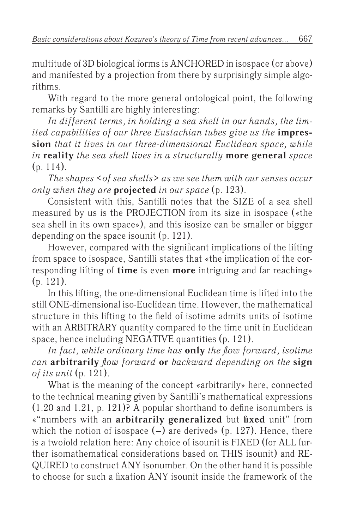multitude of 3D biological forms is ANCHORED in isospace (or above) and manifested by a projection from there by surprisingly simple algorithms.

With regard to the more general ontological point, the following remarks by Santilli are highly interesting:

*In different terms, in holding a sea shell in our hands, the lim*ited capabilities of our three Eustachian tubes give us the **impression** *that it lives in our three-dimensional Euclidean space, while in* **reality** *the sea shell lives in a structurally* **more general** *space*  (p. 114).

*The shapes <of sea shells> as we see them with our senses occur only when they are* **projected** *in our space* (p. 123).

Consistent with this, Santilli notes that the SIZE of a sea shell measured by us is the PROJECTION from its size in isospace («the sea shell in its own space»), and this isosize can be smaller or bigger depending on the space isounit (p. 121).

However, compared with the significant implications of the lifting from space to isospace, Santilli states that «the implication of the corresponding lifting of **time** is even **more** intriguing and far reaching» (p. 121).

In this lifting, the one-dimensional Euclidean time is lifted into the still ONE-dimensional iso-Euclidean time. However, the mathematical structure in this lifting to the field of isotime admits units of isotime with an ARBITRARY quantity compared to the time unit in Euclidean space, hence including NEGATIVE quantities (p. 121).

*In fact, while ordinary time has only the flow forward, isotime can* **arbitrarily** flow forward or backward depending on the sign *of its unit* (p. 121).

What is the meaning of the concept «arbitrarily» here, connected to the technical meaning given by Santilli's mathematical expressions  $(1.20 \text{ and } 1.21, \text{ p. } 121)$ ? A popular shorthand to define isonumbers is «"numbers with an **arbitrarily generalized** but fixed unit" from which the notion of isospace  $(-)$  are derived» (p. 127). Hence, there is a twofold relation here: Any choice of isounit is FIXED (for ALL further isomathematical considerations based on THIS isounit) and RE-QUIRED to construct ANY isonumber. On the other hand it is possible to choose for such a fixation ANY isounit inside the framework of the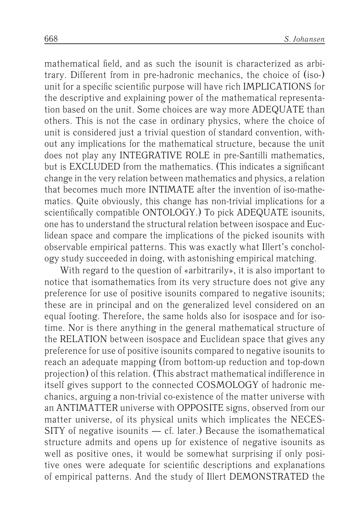mathematical field, and as such the isounit is characterized as arbitrary. Different from in pre-hadronic mechanics, the choice of (iso-) unit for a specific scientific purpose will have rich IMPLICATIONS for the descriptive and explaining power of the mathematical representation based on the unit. Some choices are way more ADEQUATE than others. This is not the case in ordinary physics, where the choice of unit is considered just a trivial question of standard convention, without any implications for the mathematical structure, because the unit does not play any INTEGRATIVE ROLE in pre-Santilli mathematics, but is EXCLUDED from the mathematics. (This indicates a significant change in the very relation between mathematics and physics, a relation that becomes much more INTIMATE after the invention of iso-mathematics. Quite obviously, this change has non-trivial implications for a scientifically compatible ONTOLOGY.) To pick ADEQUATE isounits, one has to understand the structural relation between isospace and Euclidean space and compare the implications of the picked isounits with observable empirical patterns. This was exactly what Illert's conchology study succeeded in doing, with astonishing empirical matching.

With regard to the question of «arbitrarily», it is also important to notice that isomathematics from its very structure does not give any preference for use of positive isounits compared to negative isounits; these are in principal and on the generalized level considered on an equal footing. Therefore, the same holds also for isospace and for isotime. Nor is there anything in the general mathematical structure of the RELATION between isospace and Euclidean space that gives any preference for use of positive isounits compared to negative isounits to reach an adequate mapping (from bottom-up reduction and top-down projection) of this relation. (This abstract mathematical indifference in itself gives support to the connected COSMOLOGY of hadronic mechanics, arguing a non-trivial co-existence of the matter universe with an ANTIMATTER universe with OPPOSITE signs, observed from our matter universe, of its physical units which implicates the NECES-SITY of negative isounits  $-$  cf. later.) Because the isomathematical structure admits and opens up for existence of negative isounits as well as positive ones, it would be somewhat surprising if only positive ones were adequate for scientific descriptions and explanations of empirical patterns. And the study of Illert DEMONSTRATED the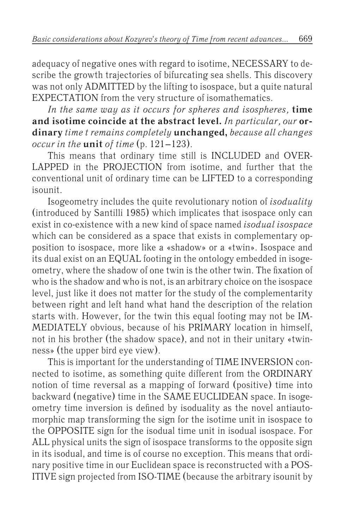adequacy of negative ones with regard to isotime, NECESSARY to describe the growth trajectories of bifurcating sea shells. This discovery was not only ADMITTED by the lifting to isospace, but a quite natural EXPECTATION from the very structure of isomathematics.

*In the same way as it occurs for spheres and isospheres,* **time and isotime coincide at the abstract level.** *In particular, our* **ordinary** *time t remains completely* **unchanged,** *because all changes occur in the* **unit** *of time* (p. 121–123).

This means that ordinary time still is INCLUDED and OVER-LAPPED in the PROJECTION from isotime, and further that the conventional unit of ordinary time can be LIFTED to a corresponding isounit.

Isogeometry includes the quite revolutionary notion of *isoduality*  (introduced by Santilli 1985) which implicates that isospace only can exist in co-existence with a new kind of space named *isodual isospace*  which can be considered as a space that exists in complementary opposition to isospace, more like a «shadow» or a «twin». Isospace and its dual exist on an EQUAL footing in the ontology embedded in isogeometry, where the shadow of one twin is the other twin. The fixation of who is the shadow and who is not, is an arbitrary choice on the isospace level, just like it does not matter for the study of the complementarity between right and left hand what hand the description of the relation starts with. However, for the twin this equal footing may not be IM-MEDIATELY obvious, because of his PRIMARY location in himself, not in his brother (the shadow space), and not in their unitary «twinness» (the upper bird eye view).

This is important for the understanding of TIME INVERSION connected to isotime, as something quite different from the ORDINARY notion of time reversal as a mapping of forward (positive) time into backward (negative) time in the SAME EUCLIDEAN space. In isogeometry time inversion is defined by isoduality as the novel antiautomorphic map transforming the sign for the isotime unit in isospace to the OPPOSITE sign for the isodual time unit in isodual isospace. For ALL physical units the sign of isospace transforms to the opposite sign in its isodual, and time is of course no exception. This means that ordinary positive time in our Euclidean space is reconstructed with a POS-ITIVE sign projected from ISO-TIME (because the arbitrary isounit by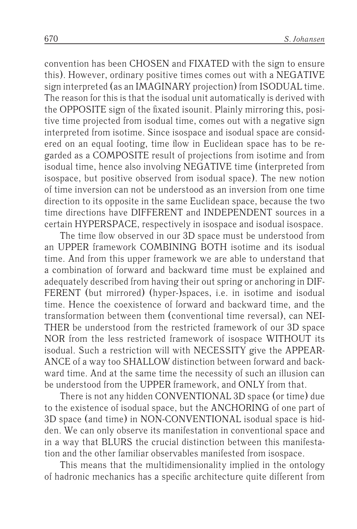convention has been CHOSEN and FIXATED with the sign to ensure this). However, ordinary positive times comes out with a NEGATIVE sign interpreted (as an IMAGINARY projection) from ISODUAL time. The reason for this is that the isodual unit automatically is derived with the OPPOSITE sign of the fixated isounit. Plainly mirroring this, positive time projected from isodual time, comes out with a negative sign interpreted from isotime. Since isospace and isodual space are considered on an equal footing, time flow in Euclidean space has to be regarded as a COMPOSITE result of projections from isotime and from isodual time, hence also involving NEGATIVE time (interpreted from isospace, but positive observed from isodual space). The new notion of time inversion can not be understood as an inversion from one time direction to its opposite in the same Euclidean space, because the two time directions have DIFFERENT and INDEPENDENT sources in a certain HYPERSPACE, respectively in isospace and isodual isospace.

The time flow observed in our 3D space must be understood from an UPPER framework COMBINING BOTH isotime and its isodual time. And from this upper framework we are able to understand that a combination of forward and backward time must be explained and adequately described from having their out spring or anchoring in DIF-FERENT (but mirrored) (hyper-)spaces, i.e. in isotime and isodual time. Hence the coexistence of forward and backward time, and the transformation between them (conventional time reversal), can NEI-THER be understood from the restricted framework of our 3D space NOR from the less restricted framework of isospace WITHOUT its isodual. Such a restriction will with NECESSITY give the APPEAR-ANCE of a way too SHALLOW distinction between forward and backward time. And at the same time the necessity of such an illusion can be understood from the UPPER framework, and ONLY from that.

There is not any hidden CONVENTIONAL 3D space (or time) due to the existence of isodual space, but the ANCHORING of one part of 3D space (and time) in NON-CONVENTIONAL isodual space is hidden. We can only observe its manifestation in conventional space and in a way that BLURS the crucial distinction between this manifestation and the other familiar observables manifested from isospace.

This means that the multidimensionality implied in the ontology of hadronic mechanics has a specific architecture quite different from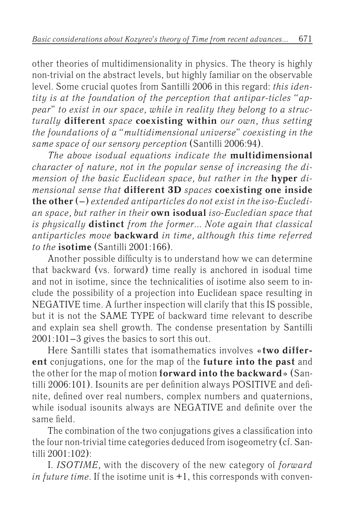other theories of multidimensionality in physics. The theory is highly non-trivial on the abstract levels, but highly familiar on the observable level. Some crucial quotes from Santilli 2006 in this regard: *this identity is at the foundation of the perception that antipar-ticles "appear" to exist in our space, while in reality they belong to a structurally* **different** *space* **coexisting within** *our own, thus setting the foundations of a "multidimensional universe" coexisting in the same space of our sensory perception* (Santilli 2006:94).

*The above isodual equations indicate the* **multidimensional**  *character of nature, not in the popular sense of increasing the dimension of the basic Euclidean space, but rather in the* **hyper** *dimensional sense that* **different 3D** *spaces* **coexisting one inside the other** (–) *extended antiparticles do not exist in the iso-Eucledian space, but rather in their* **own isodual** *iso-Eucledian space that is physically* **distinct** *from the former… Note again that classical antiparticles move* **backward** *in time, although this time referred to the* **isotime** (Santilli 2001:166).

Another possible difficulty is to understand how we can determine that backward (vs. forward) time really is anchored in isodual time and not in isotime, since the technicalities of isotime also seem to include the possibility of a projection into Euclidean space resulting in NEGATIVE time. A further inspection will clarify that this IS possible, but it is not the SAME TYPE of backward time relevant to describe and explain sea shell growth. The condense presentation by Santilli 2001:101–3 gives the basics to sort this out.

Here Santilli states that isomathematics involves **«two different** conjugations, one for the map of the **future into the past** and the other for the map of motion **forward into the backward»** (Santilli 2006:101). Isounits are per definition always POSITIVE and definite, defined over real numbers, complex numbers and quaternions, while isodual isounits always are NEGATIVE and definite over the same field.

The combination of the two conjugations gives a classification into the four non-trivial time categories deduced from isogeometry (cf. Santilli 2001:102):

I. *ISOTIME,* with the discovery of the new category of *forward in future time.* If the isotime unit is  $+1$ , this corresponds with conven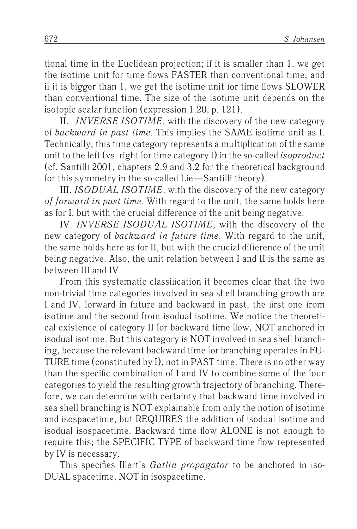tional time in the Euclidean projection; if it is smaller than 1, we get the isotime unit for time flows FASTER than conventional time; and if it is bigger than 1, we get the isotime unit for time flows SLOWER than conventional time. The size of the isotime unit depends on the isotopic scalar function (expression 1.20, p. 121).

II. *INVERSE ISOTIME,* with the discovery of the new category of *backward in past time.* This implies the SAME isotime unit as I. Technically, this time category represents a multiplication of the same unit to the left (vs. right for time category I) in the so-called *isoproduct*  (cf. Santilli 2001, chapters 2.9 and 3.2 for the theoretical background for this symmetry in the so-called Lie—Santilli theory).

III. *ISODUAL ISOTIME,* with the discovery of the new category *of forward in past time.* With regard to the unit, the same holds here as for I, but with the crucial difference of the unit being negative.

IV. *INVERSE ISODUAL ISOTIME,* with the discovery of the new category of *backward in future time.* With regard to the unit, the same holds here as for II, but with the crucial difference of the unit being negative. Also, the unit relation between I and II is the same as between III and IV.

From this systematic classification it becomes clear that the two non-trivial time categories involved in sea shell branching growth are I and IV, forward in future and backward in past, the first one from isotime and the second from isodual isotime. We notice the theoretical existence of category II for backward time flow, NOT anchored in isodual isotime. But this category is NOT involved in sea shell branching, because the relevant backward time for branching operates in FU-TURE time (constituted by I), not in PAST time. There is no other way than the specific combination of I and IV to combine some of the four categories to yield the resulting growth trajectory of branching. Therefore, we can determine with certainty that backward time involved in sea shell branching is NOT explainable from only the notion of isotime and isospacetime, but REQUIRES the addition of isodual isotime and isodual isospacetime. Backward time flow ALONE is not enough to require this; the SPECIFIC TYPE of backward time flow represented by IV is necessary.

This specifies Illert's *Gatlin propagator* to be anchored in iso-DUAL spacetime, NOT in isospacetime.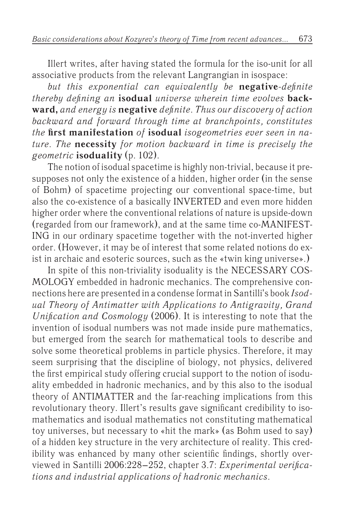Illert writes, after having stated the formula for the iso-unit for all associative products from the relevant Langrangian in isospace:

*but this exponential can equivalently be negative-definite thereby defi ning an* **isodual** *universe wherein time evolves* **backward,** and energy is **negative** definite. Thus our discovery of action *backward and forward through time at branchpoints, constitutes the* first manifestation of isodual *isogeometries ever seen in nature. The* **necessity** *for motion backward in time is precisely the geometric* **isoduality** (p. 102).

The notion of isodual spacetime is highly non-trivial, because it presupposes not only the existence of a hidden, higher order (in the sense of Bohm) of spacetime projecting our conventional space-time, but also the co-existence of a basically INVERTED and even more hidden higher order where the conventional relations of nature is upside-down (regarded from our framework), and at the same time co-MANIFEST-ING in our ordinary spacetime together with the not-inverted higher order. (However, it may be of interest that some related notions do exist in archaic and esoteric sources, such as the «twin king universe».)

In spite of this non-triviality isoduality is the NECESSARY COS-MOLOGY embedded in hadronic mechanics. The comprehensive connections here are presented in a condense format in Santilli's book *Isodual Theory of Antimatter with Applications to Antigravity, Grand Unification and Cosmology* (2006). It is interesting to note that the invention of isodual numbers was not made inside pure mathematics, but emerged from the search for mathematical tools to describe and solve some theoretical problems in particle physics. Therefore, it may seem surprising that the discipline of biology, not physics, delivered the first empirical study offering crucial support to the notion of isoduality embedded in hadronic mechanics, and by this also to the isodual theory of ANTIMATTER and the far-reaching implications from this revolutionary theory. Illert's results gave significant credibility to isomathematics and isodual mathematics not constituting mathematical toy universes, but necessary to «hit the mark» (as Bohm used to say) of a hidden key structure in the very architecture of reality. This credibility was enhanced by many other scientific findings, shortly overviewed in Santilli 2006:228-252, chapter 3.7: *Experimental verifications and industrial applications of hadronic mechanics.*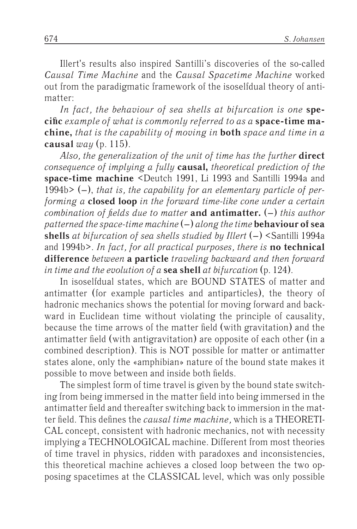Illert's results also inspired Santilli's discoveries of the so-called *Causal Time Machine* and the *Causal Spacetime Machine* worked out from the paradigmatic framework of the isoselfdual theory of antimatter:

In fact, the behaviour of sea shells at bifurcation is one **spe**cific example of what is commonly referred to as a **space-time machine,** *that is the capability of moving in* **both** *space and time in a*  **causal** *way* (p. 115).

*Also, the generalization of the unit of time has the further* **direct**  *consequence of implying a fully* **causal,** *theoretical prediction of the*  **space-time machine** *<*Deutch 1991, Li 1993 and Santilli 1994a and 1994b> (–), *that is, the capability for an elementary particle of performing a* **closed loop** *in the forward time-like cone under a certain combination of fields due to matter* **and antimatter.** (–) *this author patterned the space-time machine* (–) *along the time* **behaviour of sea shells** *at bifurcation of sea shells studied by Illert* (–) *<*Santilli 1994a and 1994b>. *In fact, for all practical purposes, there is* **no technical difference** *between* **a particle** *traveling backward and then forward in time and the evolution of a* **sea shell** *at bifurcation* (p. 124).

In isoselfdual states, which are BOUND STATES of matter and antimatter (for example particles and antiparticles), the theory of hadronic mechanics shows the potential for moving forward and backward in Euclidean time without violating the principle of causality, because the time arrows of the matter field (with gravitation) and the antimatter field (with antigravitation) are opposite of each other (in a combined description). This is NOT possible for matter or antimatter states alone, only the «amphibian» nature of the bound state makes it possible to move between and inside both fields.

The simplest form of time travel is given by the bound state switching from being immersed in the matter field into being immersed in the antimatter field and thereafter switching back to immersion in the matter field. This defines the *causal time machine*, which is a THEORETI-CAL concept, consistent with hadronic mechanics, not with necessity implying a TECHNOLOGICAL machine. Different from most theories of time travel in physics, ridden with paradoxes and inconsistencies, this theoretical machine achieves a closed loop between the two opposing spacetimes at the CLASSICAL level, which was only possible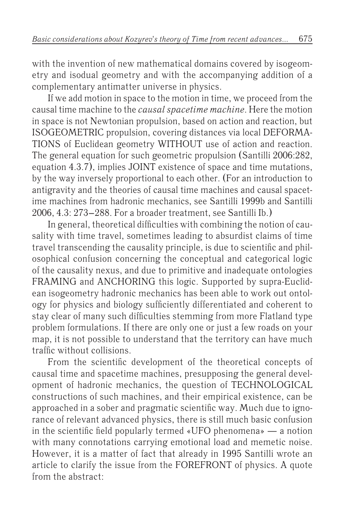with the invention of new mathematical domains covered by isogeometry and isodual geometry and with the accompanying addition of a complementary antimatter universe in physics.

If we add motion in space to the motion in time, we proceed from the causal time machine to the *causal spacetime machine.* Here the motion in space is not Newtonian propulsion, based on action and reaction, but ISOGEOMETRIC propulsion, covering distances via local DEFORMA-TIONS of Euclidean geometry WITHOUT use of action and reaction. The general equation for such geometric propulsion (Santilli 2006:282, equation 4.3.7), implies JOINT existence of space and time mutations, by the way inversely proportional to each other. (For an introduction to antigravity and the theories of causal time machines and causal spacetime machines from hadronic mechanics, see Santilli 1999b and Santilli 2006, 4.3: 273–288. For a broader treatment, see Santilli Ib.)

In general, theoretical difficulties with combining the notion of causality with time travel, sometimes leading to absurdist claims of time travel transcending the causality principle, is due to scientific and philosophical confusion concerning the conceptual and categorical logic of the causality nexus, and due to primitive and inadequate ontologies FRAMING and ANCHORING this logic. Supported by supra-Euclidean isogeometry hadronic mechanics has been able to work out ontology for physics and biology sufficiently differentiated and coherent to stay clear of many such difficulties stemming from more Flatland type problem formulations. If there are only one or just a few roads on your map, it is not possible to understand that the territory can have much traffic without collisions

From the scientific development of the theoretical concepts of causal time and spacetime machines, presupposing the general development of hadronic mechanics, the question of TECHNOLOGICAL constructions of such machines, and their empirical existence, can be approached in a sober and pragmatic scientific way. Much due to ignorance of relevant advanced physics, there is still much basic confusion in the scientific field popularly termed «UFO phenomena»  $-$  a notion with many connotations carrying emotional load and memetic noise. However, it is a matter of fact that already in 1995 Santilli wrote an article to clarify the issue from the FOREFRONT of physics. A quote from the abstract: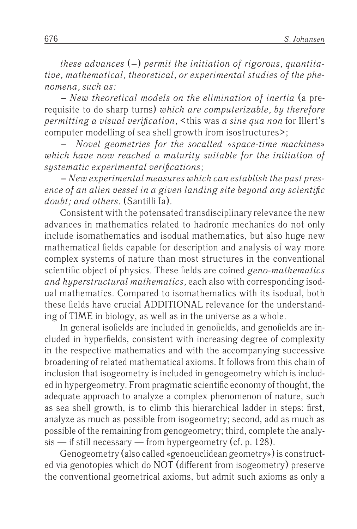*these advances* (–) *permit the initiation of rigorous, quantitative, mathematical, theoretical, or experimental studies of the phenomena, such as:*

*– New theoretical models on the elimination of inertia* (a prerequisite to do sharp turns) *which are computerizable, by therefore permitting a visual verification,* <this was *a sine qua non* for Illert's computer modelling of sea shell growth from isostructures>;

*– Novel geometries for the socalled «space-time machines» which have now reached a maturity suitable for the initiation of*  systematic experimental verifications;

*– New experimental measures which can establish the past presence of an alien vessel in a given landing site beyond any scientific doubt; and others.* (Santilli Ia).

Consistent with the potensated transdisciplinary relevance the new advances in mathematics related to hadronic mechanics do not only include isomathematics and isodual mathematics, but also huge new mathematical fields capable for description and analysis of way more complex systems of nature than most structures in the conventional scientific object of physics. These fields are coined *geno-mathematics and hyperstructural mathematics,* each also with corresponding isodual mathematics. Compared to isomathematics with its isodual, both these fields have crucial ADDITIONAL relevance for the understanding of TIME in biology, as well as in the universe as a whole.

In general isofields are included in genofields, and genofields are included in hyperfields, consistent with increasing degree of complexity in the respective mathematics and with the accompanying successive broadening of related mathematical axioms. It follows from this chain of inclusion that isogeometry is included in genogeometry which is included in hypergeometry. From pragmatic scientific economy of thought, the adequate approach to analyze a complex phenomenon of nature, such as sea shell growth, is to climb this hierarchical ladder in steps: first, analyze as much as possible from isogeometry; second, add as much as possible of the remaining from genogeometry; third, complete the analysis — if still necessary — from hypergeometry (cf. p. 128).

Genogeometry (also called «genoeuclidean geometry») is constructed via genotopies which do NOT (different from isogeometry) preserve the conventional geometrical axioms, but admit such axioms as only a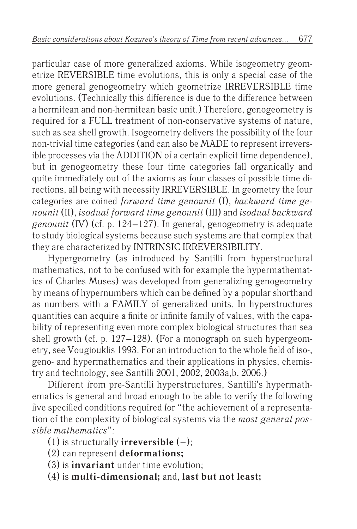particular case of more generalized axioms. While isogeometry geometrize REVERSIBLE time evolutions, this is only a special case of the more general genogeometry which geometrize IRREVERSIBLE time evolutions. (Technically this difference is due to the difference between a hermitean and non-hermitean basic unit.) Therefore, genogeometry is required for a FULL treatment of non-conservative systems of nature, such as sea shell growth. Isogeometry delivers the possibility of the four non-trivial time categories (and can also be MADE to represent irreversible processes via the ADDITION of a certain explicit time dependence), but in genogeometry these four time categories fall organically and quite immediately out of the axioms as four classes of possible time directions, all being with necessity IRREVERSIBLE. In geometry the four categories are coined *forward time genounit* (I), *backward time genounit* (II), *isodual forward time genounit* (III) and *isodual backward genounit* (IV) (cf. p. 124–127). In general, genogeometry is adequate to study biological systems because such systems are that complex that they are characterized by INTRINSIC IRREVERSIBILITY.

Hypergeometry (as introduced by Santilli from hyperstructural mathematics, not to be confused with for example the hypermathematics of Charles Muses) was developed from generalizing genogeometry by means of hypernumbers which can be defined by a popular shorthand as numbers with a FAMILY of generalized units. In hyperstructures quantities can acquire a finite or infinite family of values, with the capability of representing even more complex biological structures than sea shell growth (cf. p. 127–128). (For a monograph on such hypergeometry, see Vougiouklis 1993. For an introduction to the whole field of iso-, geno- and hypermathematics and their applications in physics, chemistry and technology, see Santilli 2001, 2002, 2003a,b, 2006.)

Different from pre-Santilli hyperstructures, Santilli's hypermathematics is general and broad enough to be able to verify the following five specified conditions required for "the achievement of a representation of the complexity of biological systems via the *most general possible mathematics":*

(1) is structurally **irreversible** (–);

- (2) can represent **deformations;**
- (3) is **invariant** under time evolution;
- (4) is **multi-dimensional;** and, **last but not least;**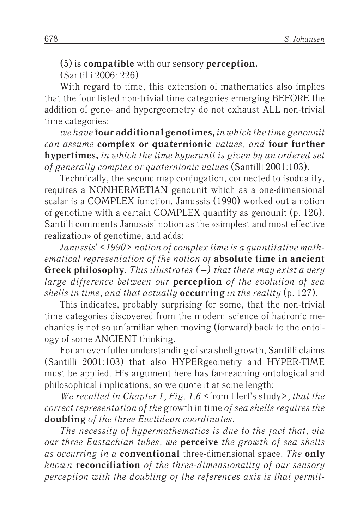(5) is **compatible** with our sensory **perception.** (Santilli 2006: 226).

With regard to time, this extension of mathematics also implies that the four listed non-trivial time categories emerging BEFORE the addition of geno- and hypergeometry do not exhaust ALL non-trivial time categories:

*we have* **four additional genotimes,** *in which the time genounit can assume* **complex or quaternionic** *values, and* **four further hypertimes,** *in which the time hyperunit is given by an ordered set of generally complex or quaternionic values* (Santilli 2001:103).

Technically, the second map conjugation, connected to isoduality, requires a NONHERMETIAN genounit which as a one-dimensional scalar is a COMPLEX function. Janussis (1990) worked out a notion of genotime with a certain COMPLEX quantity as genounit (p. 126). Santilli comments Janussis' notion as the «simplest and most effective realization» of genotime, and adds:

*Janussis' <1990> notion of complex time is a quantitative mathematical representation of the notion of* **absolute time in ancient Greek philosophy.** *This illustrates (–) that there may exist a very large difference between our* **perception** *of the evolution of sea shells in time, and that actually* **occurring** *in the reality* (p. 127).

This indicates, probably surprising for some, that the non-trivial time categories discovered from the modern science of hadronic mechanics is not so unfamiliar when moving (forward) back to the ontology of some ANCIENT thinking.

For an even fuller understanding of sea shell growth, Santilli claims (Santilli 2001:103) that also HYPERgeometry and HYPER-TIME must be applied. His argument here has far-reaching ontological and philosophical implications, so we quote it at some length:

*We recalled in Chapter 1, Fig. 1.6 <*from Illert's study*>, that the correct representation of the* growth in time *of sea shells requires the*  **doubling** *of the three Euclidean coordinates.*

*The necessity of hypermathematics is due to the fact that, via our three Eustachian tubes, we* **perceive** *the growth of sea shells as occurring in a* **conventional** three-dimensional space. *The* **only**  *known* **reconciliation** *of the three-dimensionality of our sensory perception with the doubling of the references axis is that permit-*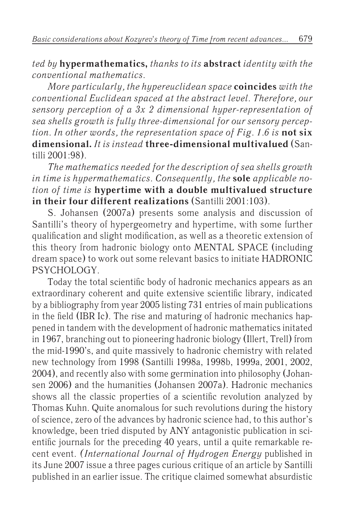*ted by* **hypermathematics,** *thanks to its* **abstract** *identity with the conventional mathematics.*

*More particularly, the hypereuclidean space* **coincides** *with the conventional Euclidean spaced at the abstract level. Therefore, our sensory perception of a 3x 2 dimensional hyper-representation of sea shells growth is fully three-dimensional for our sensory perception. In other words, the representation space of Fig. 1.6 is* **not six dimensional.** *It is instead* **three-dimensional multivalued** (Santilli 2001:98).

*The mathematics needed for the description of sea shells growth in time is hypermathematics. Consequently, the* **sole** *applicable notion of time is* **hypertime with a double multivalued structure in their four different realizations** (Santilli 2001:103).

S. Johansen (2007a) presents some analysis and discussion of Santilli's theory of hypergeometry and hypertime, with some further qualification and slight modification, as well as a theoretic extension of this theory from hadronic biology onto MENTAL SPACE (including dream space) to work out some relevant basics to initiate HADRONIC PSYCHOLOGY.

Today the total scientific body of hadronic mechanics appears as an extraordinary coherent and quite extensive scientific library, indicated by a bibliography from year 2005 listing 731 entries of main publications in the field (IBR Ic). The rise and maturing of hadronic mechanics happened in tandem with the development of hadronic mathematics initated in 1967, branching out to pioneering hadronic biology (Illert, Trell) from the mid-1990's, and quite massively to hadronic chemistry with related new technology from 1998 (Santilli 1998a, 1998b, 1999a, 2001, 2002, 2004), and recently also with some germination into philosophy (Johansen 2006) and the humanities (Johansen 2007a). Hadronic mechanics shows all the classic properties of a scientific revolution analyzed by Thomas Kuhn. Quite anomalous for such revolutions during the history of science, zero of the advances by hadronic science had, to this author's knowledge, been tried disputed by ANY antagonistic publication in scientific journals for the preceding 40 years, until a quite remarkable recent event. *(International Journal of Hydrogen Energy* published in its June 2007 issue a three pages curious critique of an article by Santilli published in an earlier issue. The critique claimed somewhat absurdistic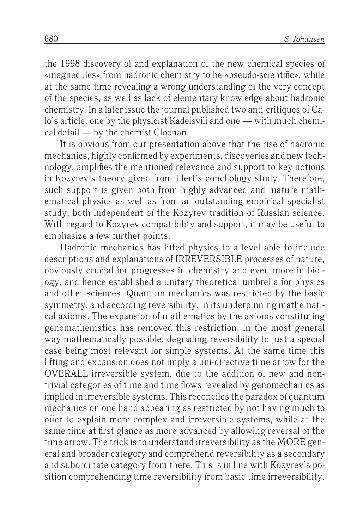the 1998 discovery of and explanation of the new chemical species of «magnecules» from hadronic chemistry to be «pseudo-scientific», while at the same time revealing a wrong understanding of the very concept of the species, as well as lack of elementary knowledge about hadronic chemistry. In a later issue the journal published two anti-critiques of Calo's article, one by the physicist Kadeisvili and one — with much chemical detail — by the chemist Cloonan.

It is obvious from our presentation above that the rise of hadronic mechanics, highly confirmed by experiments, discoveries and new technology, amplifies the mentioned relevance and support to key notions in Kozyrev's theory given from Illert's conchology study. Therefore, such support is given both from highly advanced and mature mathematical physics as well as from an outstanding empirical specialist study, both independent of the Kozyrev tradition of Russian science. With regard to Kozyrev compatibility and support, it may be useful to emphasize a few further points:

Hadronic mechanics has lifted physics to a level able to include descriptions and explanations of IRREVERSIBLE processes of nature, obviously crucial for progresses in chemistry and even more in biology, and hence established a unitary theoretical umbrella for physics and other sciences. Quantum mechanics was restricted by the basic symmetry, and according reversibility, in its underpinning mathematical axioms. The expansion of mathematics by the axioms constituting genomathematics has removed this restriction, in the most general way mathematically possible, degrading reversibility to just a special case being most relevant for simple systems. At the same time this lifting and expansion does not imply a uni-directive time arrow for the OVERALL irreversible system, due to the addition of new and nontrivial categories of time and time flows revealed by genomechanics as implied in irreversible systems. This reconciles the paradox of quantum mechanics on one hand appearing as restricted by not having much to offer to explain more complex and irreversible systems, while at the same time at first glance as more advanced by allowing reversal of the time arrow. The trick is to understand irreversibility as the MORE general and broader category and comprehend reversibility as a secondary and subordinate category from there. This is in line with Kozyrev's position comprehending time reversibility from basic time irreversibility.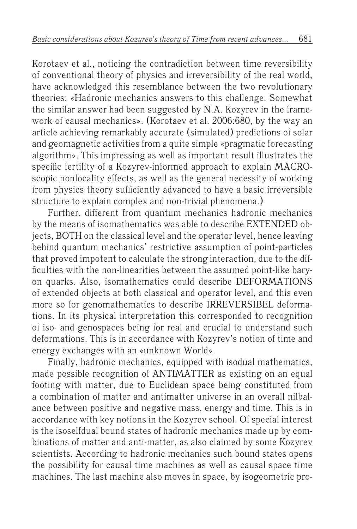Korotaev et al., noticing the contradiction between time reversibility of conventional theory of physics and irreversibility of the real world, have acknowledged this resemblance between the two revolutionary theories: «Hadronic mechanics answers to this challenge. Somewhat the similar answer had been suggested by N.A. Kozyrev in the framework of causal mechanics». (Korotaev et al. 2006:680, by the way an article achieving remarkably accurate (simulated) predictions of solar and geomagnetic activities from a quite simple «pragmatic forecasting algorithm». This impressing as well as important result illustrates the specific fertility of a Kozyrev-informed approach to explain MACROscopic nonlocality effects, as well as the general necessity of working from physics theory sufficiently advanced to have a basic irreversible structure to explain complex and non-trivial phenomena.)

Further, different from quantum mechanics hadronic mechanics by the means of isomathematics was able to describe EXTENDED objects, BOTH on the classical level and the operator level, hence leaving behind quantum mechanics' restrictive assumption of point-particles that proved impotent to calculate the strong interaction, due to the difficulties with the non-linearities between the assumed point-like baryon quarks. Also, isomathematics could describe DEFORMATIONS of extended objects at both classical and operator level, and this even more so for genomathematics to describe IRREVERSIBEL deformations. In its physical interpretation this corresponded to recognition of iso- and genospaces being for real and crucial to understand such deformations. This is in accordance with Kozyrev's notion of time and energy exchanges with an «unknown World».

Finally, hadronic mechanics, equipped with isodual mathematics, made possible recognition of ANTIMATTER as existing on an equal footing with matter, due to Euclidean space being constituted from a combination of matter and antimatter universe in an overall nilbalance between positive and negative mass, energy and time. This is in accordance with key notions in the Kozyrev school. Of special interest is the isoselfdual bound states of hadronic mechanics made up by combinations of matter and anti-matter, as also claimed by some Kozyrev scientists. According to hadronic mechanics such bound states opens the possibility for causal time machines as well as causal space time machines. The last machine also moves in space, by isogeometric pro-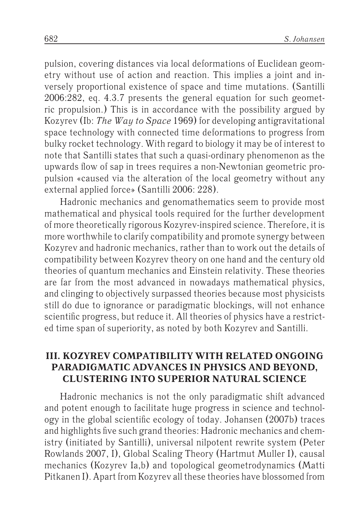pulsion, covering distances via local deformations of Euclidean geometry without use of action and reaction. This implies a joint and inversely proportional existence of space and time mutations. (Santilli 2006:282, eq. 4.3.7 presents the general equation for such geometric propulsion.) This is in accordance with the possibility argued by Kozyrev (Ib: *The Way to Space* 1969) for developing antigravitational space technology with connected time deformations to progress from bulky rocket technology. With regard to biology it may be of interest to note that Santilli states that such a quasi-ordinary phenomenon as the upwards flow of sap in trees requires a non-Newtonian geometric propulsion «caused via the alteration of the local geometry without any external applied force» (Santilli 2006: 228).

Hadronic mechanics and genomathematics seem to provide most mathematical and physical tools required for the further development of more theoretically rigorous Kozyrev-inspired science. Therefore, it is more worthwhile to clarify compatibility and promote synergy between Kozyrev and hadronic mechanics, rather than to work out the details of compatibility between Kozyrev theory on one hand and the century old theories of quantum mechanics and Einstein relativity. These theories are far from the most advanced in nowadays mathematical physics, and clinging to objectively surpassed theories because most physicists still do due to ignorance or paradigmatic blockings, will not enhance scientific progress, but reduce it. All theories of physics have a restricted time span of superiority, as noted by both Kozyrev and Santilli.

### **III. KOZYREV COMPATIBILITY WITH RELATED ONGOING PARADIGMATIC ADVANCES IN PHYSICS AND BEYOND, CLUSTERING INTO SUPERIOR NATURAL SCIENCE**

Hadronic mechanics is not the only paradigmatic shift advanced and potent enough to facilitate huge progress in science and technology in the global scientific ecology of today. Johansen (2007b) traces and highlights five such grand theories: Hadronic mechanics and chemistry (initiated by Santilli), universal nilpotent rewrite system (Peter Rowlands 2007, I), Global Scaling Theory (Hartmut Muller I), causal mechanics (Kozyrev Ia,b) and topological geometrodynamics (Matti Pitkanen I). Apart from Kozyrev all these theories have blossomed from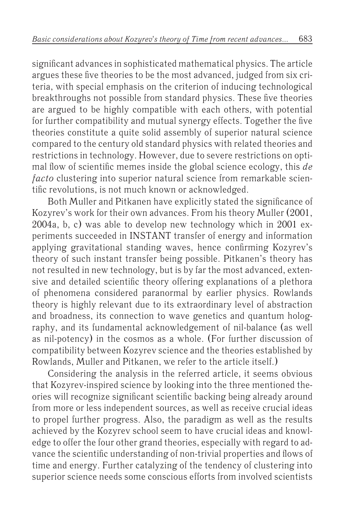significant advances in sophisticated mathematical physics. The article argues these five theories to be the most advanced, judged from six criteria, with special emphasis on the criterion of inducing technological breakthroughs not possible from standard physics. These five theories are argued to be highly compatible with each others, with potential for further compatibility and mutual synergy effects. Together the five theories constitute a quite solid assembly of superior natural science compared to the century old standard physics with related theories and restrictions in technology. However, due to severe restrictions on optimal flow of scientific memes inside the global science ecology, this *de facto* clustering into superior natural science from remarkable scientific revolutions, is not much known or acknowledged.

Both Muller and Pitkanen have explicitly stated the significance of Kozyrev's work for their own advances. From his theory Muller (2001, 2004a, b, c) was able to develop new technology which in 2001 experiments succeeded in INSTANT transfer of energy and information applying gravitational standing waves, hence confirming Kozyrev's theory of such instant transfer being possible. Pitkanen's theory has not resulted in new technology, but is by far the most advanced, extensive and detailed scientific theory offering explanations of a plethora of phenomena considered paranormal by earlier physics. Rowlands theory is highly relevant due to its extraordinary level of abstraction and broadness, its connection to wave genetics and quantum holography, and its fundamental acknowledgement of nil-balance (as well as nil-potency) in the cosmos as a whole. (For further discussion of compatibility between Kozyrev science and the theories established by Rowlands, Muller and Pitkanen, we refer to the article itself.)

Considering the analysis in the referred article, it seems obvious that Kozyrev-inspired science by looking into the three mentioned theories will recognize significant scientific backing being already around from more or less independent sources, as well as receive crucial ideas to propel further progress. Also, the paradigm as well as the results achieved by the Kozyrev school seem to have crucial ideas and knowledge to offer the four other grand theories, especially with regard to advance the scientific understanding of non-trivial properties and flows of time and energy. Further catalyzing of the tendency of clustering into superior science needs some conscious efforts from involved scientists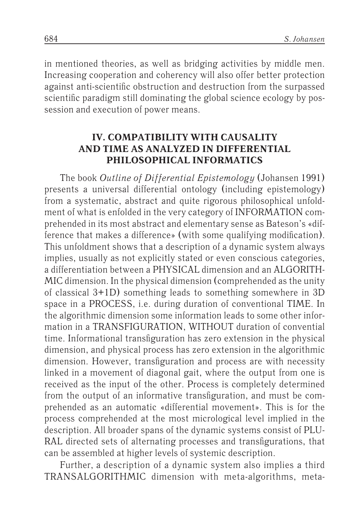in mentioned theories, as well as bridging activities by middle men. Increasing cooperation and coherency will also offer better protection against anti-scientific obstruction and destruction from the surpassed scientific paradigm still dominating the global science ecology by possession and execution of power means.

#### **IV. COMPATIBILITY WITH CAUSALITY AND TIME AS ANALYZED IN DIFFERENTIAL PHILOSOPHICAL INFORMATICS**

The book *Outline of Differential Epistemology* (Johansen 1991) presents a universal differential ontology (including epistemology) from a systematic, abstract and quite rigorous philosophical unfoldment of what is enfolded in the very category of INFORMATION comprehended in its most abstract and elementary sense as Bateson's «difference that makes a difference» (with some qualifying modification). This unfoldment shows that a description of a dynamic system always implies, usually as not explicitly stated or even conscious categories, a differentiation between a PHYSICAL dimension and an ALGORITH-MIC dimension. In the physical dimension (comprehended as the unity of classical 3+1D) something leads to something somewhere in 3D space in a PROCESS, i.e. during duration of conventional TIME. In the algorithmic dimension some information leads to some other information in a TRANSFIGURATION, WITHOUT duration of convential time. Informational transfiguration has zero extension in the physical dimension, and physical process has zero extension in the algorithmic dimension. However, transfiguration and process are with necessity linked in a movement of diagonal gait, where the output from one is received as the input of the other. Process is completely determined from the output of an informative transfiguration, and must be comprehended as an automatic «differential movement». This is for the process comprehended at the most micrological level implied in the description. All broader spans of the dynamic systems consist of PLU-RAL directed sets of alternating processes and transfigurations, that can be assembled at higher levels of systemic description.

Further, a description of a dynamic system also implies a third TRANSALGORITHMIC dimension with meta-algorithms, meta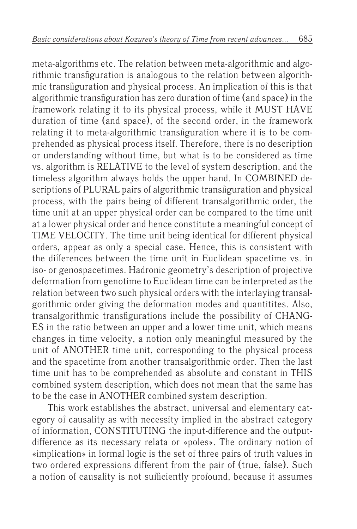meta-algorithms etc. The relation between meta-algorithmic and algorithmic transfiguration is analogous to the relation between algorithmic transfiguration and physical process. An implication of this is that algorithmic transfiguration has zero duration of time (and space) in the framework relating it to its physical process, while it MUST HAVE duration of time (and space), of the second order, in the framework relating it to meta-algorithmic transfiguration where it is to be comprehended as physical process itself. Therefore, there is no description or understanding without time, but what is to be considered as time vs. algorithm is RELATIVE to the level of system description, and the timeless algorithm always holds the upper hand. In COMBINED descriptions of PLURAL pairs of algorithmic transfiguration and physical process, with the pairs being of different transalgorithmic order, the time unit at an upper physical order can be compared to the time unit at a lower physical order and hence constitute a meaningful concept of TIME VELOCITY. The time unit being identical for different physical orders, appear as only a special case. Hence, this is consistent with the differences between the time unit in Euclidean spacetime vs. in iso- or genospacetimes. Hadronic geometry's description of projective deformation from genotime to Euclidean time can be interpreted as the relation between two such physical orders with the interlaying transalgorithmic order giving the deformation modes and quantitites. Also, transalgorithmic transfigurations include the possibility of CHANG-ES in the ratio between an upper and a lower time unit, which means changes in time velocity, a notion only meaningful measured by the unit of ANOTHER time unit, corresponding to the physical process and the spacetime from another transalgorithmic order. Then the last time unit has to be comprehended as absolute and constant in THIS combined system description, which does not mean that the same has to be the case in ANOTHER combined system description.

This work establishes the abstract, universal and elementary category of causality as with necessity implied in the abstract category of information, CONSTITUTING the input-difference and the outputdifference as its necessary relata or «poles». The ordinary notion of «implication» in formal logic is the set of three pairs of truth values in two ordered expressions different from the pair of (true, false). Such a notion of causality is not sufficiently profound, because it assumes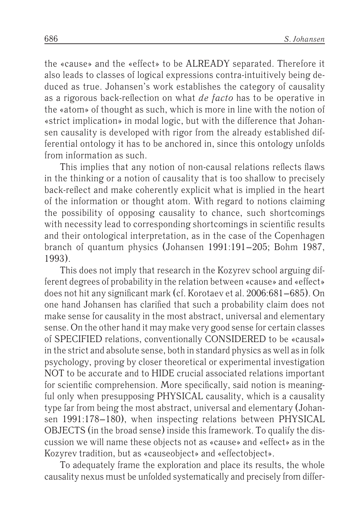the «cause» and the «effect» to be ALREADY separated. Therefore it also leads to classes of logical expressions contra-intuitively being deduced as true. Johansen's work establishes the category of causality as a rigorous back-reflection on what *de facto* has to be operative in the «atom» of thought as such, which is more in line with the notion of «strict implication» in modal logic, but with the difference that Johansen causality is developed with rigor from the already established differential ontology it has to be anchored in, since this ontology unfolds from information as such.

This implies that any notion of non-causal relations reflects flaws in the thinking or a notion of causality that is too shallow to precisely back-reflect and make coherently explicit what is implied in the heart of the information or thought atom. With regard to notions claiming the possibility of opposing causality to chance, such shortcomings with necessity lead to corresponding shortcomings in scientific results and their ontological interpretation, as in the case of the Copenhagen branch of quantum physics (Johansen 1991:191–205; Bohm 1987, 1993).

This does not imply that research in the Kozyrev school arguing different degrees of probability in the relation between «cause» and «effect» does not hit any significant mark (cf. Korotaev et al. 2006:681-685). On one hand Johansen has clarified that such a probability claim does not make sense for causality in the most abstract, universal and elementary sense. On the other hand it may make very good sense for certain classes of SPECIFIED relations, conventionally CONSIDERED to be «causal» in the strict and absolute sense, both in standard physics as well as in folk psychology, proving by closer theoretical or experimental investigation NOT to be accurate and to HIDE crucial associated relations important for scientific comprehension. More specifically, said notion is meaningful only when presupposing PHYSICAL causality, which is a causality type far from being the most abstract, universal and elementary (Johansen 1991:178–180), when inspecting relations between PHYSICAL OBJECTS (in the broad sense) inside this framework. To qualify the discussion we will name these objects not as «cause» and «effect» as in the Kozyrev tradition, but as «causeobject» and «effectobject».

To adequately frame the exploration and place its results, the whole causality nexus must be unfolded systematically and precisely from differ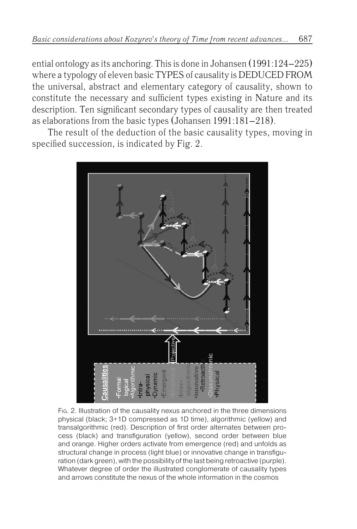ential ontology as its anchoring. This is done in Johansen (1991:124–225) where a typology of eleven basic TYPES of causality is DEDUCED FROM the universal, abstract and elementary category of causality, shown to constitute the necessary and sufficient types existing in Nature and its description. Ten significant secondary types of causality are then treated as elaborations from the basic types (Johansen 1991:181–218).

The result of the deduction of the basic causality types, moving in specified succession, is indicated by Fig. 2.



FIG. 2. Illustration of the causality nexus anchored in the three dimensions physical (black; 3+1D compressed as 1D time), algorithmic (yellow) and transalgorithmic (red). Description of first order alternates between process (black) and transfiguration (yellow), second order between blue and orange. Higher orders activate from emergence (red) and unfolds as structural change in process (light blue) or innovative change in transfiguration (dark green), with the possibility of the last being retroactive (purple). Whatever degree of order the illustrated conglomerate of causality types and arrows constitute the nexus of the whole information in the cosmos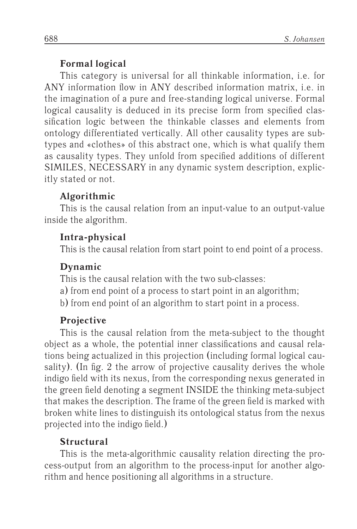### **Formal logical**

This category is universal for all thinkable information, i.e. for ANY information flow in ANY described information matrix, i.e. in the imagination of a pure and free-standing logical universe. Formal logical causality is deduced in its precise form from specified classification logic between the thinkable classes and elements from ontology differentiated vertically. All other causality types are subtypes and «clothes» of this abstract one, which is what qualify them as causality types. They unfold from specified additions of different SIMILES, NECESSARY in any dynamic system description, explicitly stated or not.

### **Algorithmic**

This is the causal relation from an input-value to an output-value inside the algorithm.

#### **Intra-physical**

This is the causal relation from start point to end point of a process.

### **Dynamic**

This is the causal relation with the two sub-classes:

- a) from end point of a process to start point in an algorithm;
- b) from end point of an algorithm to start point in a process.

#### **Projective**

This is the causal relation from the meta-subject to the thought object as a whole, the potential inner classifications and causal relations being actualized in this projection (including formal logical causality). (In fig. 2 the arrow of projective causality derives the whole indigo field with its nexus, from the corresponding nexus generated in the green field denoting a segment INSIDE the thinking meta-subject that makes the description. The frame of the green field is marked with broken white lines to distinguish its ontological status from the nexus projected into the indigo field.)

#### **Structural**

This is the meta-algorithmic causality relation directing the process-output from an algorithm to the process-input for another algorithm and hence positioning all algorithms in a structure.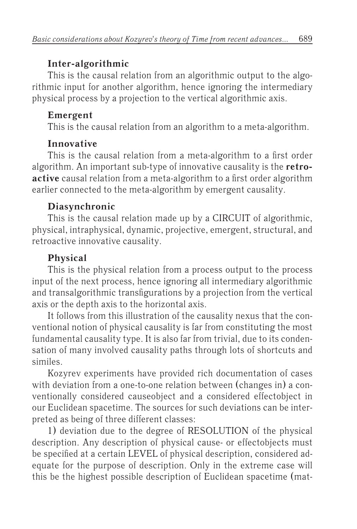### **Inter-algorithmic**

This is the causal relation from an algorithmic output to the algorithmic input for another algorithm, hence ignoring the intermediary physical process by a projection to the vertical algorithmic axis.

### **Emergent**

This is the causal relation from an algorithm to a meta-algorithm.

## **Innovative**

This is the causal relation from a meta-algorithm to a first order algorithm. An important sub-type of innovative causality is the **retroactive** causal relation from a meta-algorithm to a first order algorithm earlier connected to the meta-algorithm by emergent causality.

# **Diasynchronic**

This is the causal relation made up by a CIRCUIT of algorithmic, physical, intraphysical, dynamic, projective, emergent, structural, and retroactive innovative causality.

# **Physical**

This is the physical relation from a process output to the process input of the next process, hence ignoring all intermediary algorithmic and transalgorithmic transfigurations by a projection from the vertical axis or the depth axis to the horizontal axis.

It follows from this illustration of the causality nexus that the conventional notion of physical causality is far from constituting the most fundamental causality type. It is also far from trivial, due to its condensation of many involved causality paths through lots of shortcuts and similes.

Kozyrev experiments have provided rich documentation of cases with deviation from a one-to-one relation between (changes in) a conventionally considered causeobject and a considered effectobject in our Euclidean spacetime. The sources for such deviations can be interpreted as being of three different classes:

1) deviation due to the degree of RESOLUTION of the physical description. Any description of physical cause- or effectobjects must be specified at a certain LEVEL of physical description, considered adequate for the purpose of description. Only in the extreme case will this be the highest possible description of Euclidean spacetime (mat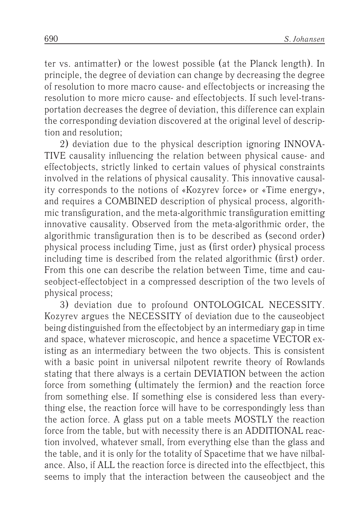ter vs. antimatter) or the lowest possible (at the Planck length). In principle, the degree of deviation can change by decreasing the degree of resolution to more macro cause- and effectobjects or increasing the resolution to more micro cause- and effectobjects. If such level-transportation decreases the degree of deviation, this difference can explain the corresponding deviation discovered at the original level of description and resolution;

2) deviation due to the physical description ignoring INNOVA-TIVE causality influencing the relation between physical cause- and effectobjects, strictly linked to certain values of physical constraints involved in the relations of physical causality. This innovative causality corresponds to the notions of «Kozyrev force» or «Time energy», and requires a COMBINED description of physical process, algorithmic transfiguration, and the meta-algorithmic transfiguration emitting innovative causality. Observed from the meta-algorithmic order, the algorithmic transfiguration then is to be described as (second order) physical process including Time, just as (first order) physical process including time is described from the related algorithmic (first) order. From this one can describe the relation between Time, time and causeobject-effectobject in a compressed description of the two levels of physical process;

3) deviation due to profound ONTOLOGICAL NECESSITY. Kozyrev argues the NECESSITY of deviation due to the causeobject being distinguished from the effectobject by an intermediary gap in time and space, whatever microscopic, and hence a spacetime VECTOR existing as an intermediary between the two objects. This is consistent with a basic point in universal nilpotent rewrite theory of Rowlands stating that there always is a certain DEVIATION between the action force from something (ultimately the fermion) and the reaction force from something else. If something else is considered less than everything else, the reaction force will have to be correspondingly less than the action force. A glass put on a table meets MOSTLY the reaction force from the table, but with necessity there is an ADDITIONAL reaction involved, whatever small, from everything else than the glass and the table, and it is only for the totality of Spacetime that we have nilbalance. Also, if ALL the reaction force is directed into the effectbject, this seems to imply that the interaction between the causeobject and the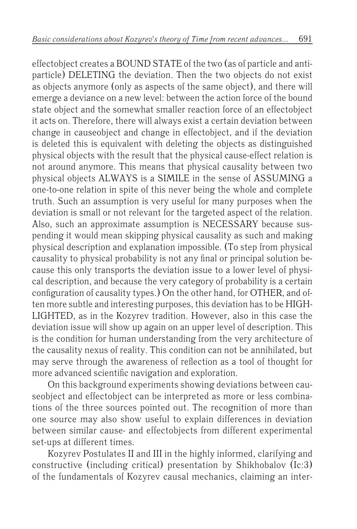effectobject creates a BOUND STATE of the two (as of particle and antiparticle) DELETING the deviation. Then the two objects do not exist as objects anymore (only as aspects of the same object), and there will emerge a deviance on a new level: between the action force of the bound state object and the somewhat smaller reaction force of an effectobject it acts on. Therefore, there will always exist a certain deviation between change in causeobject and change in effectobject, and if the deviation is deleted this is equivalent with deleting the objects as distinguished physical objects with the result that the physical cause-effect relation is not around anymore. This means that physical causality between two physical objects ALWAYS is a SIMILE in the sense of ASSUMING a one-to-one relation in spite of this never being the whole and complete truth. Such an assumption is very useful for many purposes when the deviation is small or not relevant for the targeted aspect of the relation. Also, such an approximate assumption is NECESSARY because suspending it would mean skipping physical causality as such and making physical description and explanation impossible. (To step from physical causality to physical probability is not any final or principal solution because this only transports the deviation issue to a lower level of physical description, and because the very category of probability is a certain configuration of causality types.) On the other hand, for OTHER, and often more subtle and interesting purposes, this deviation has to be HIGH-LIGHTED, as in the Kozyrev tradition. However, also in this case the deviation issue will show up again on an upper level of description. This is the condition for human understanding from the very architecture of the causality nexus of reality. This condition can not be annihilated, but may serve through the awareness of reflection as a tool of thought for more advanced scientific navigation and exploration.

On this background experiments showing deviations between causeobject and effectobject can be interpreted as more or less combinations of the three sources pointed out. The recognition of more than one source may also show useful to explain differences in deviation between similar cause- and effectobjects from different experimental set-ups at different times.

Kozyrev Postulates II and III in the highly informed, clarifying and constructive (including critical) presentation by Shikhobalov (Ic:3) of the fundamentals of Kozyrev causal mechanics, claiming an inter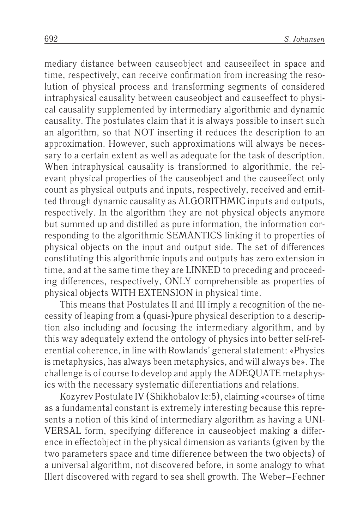mediary distance between causeobject and causeeffect in space and time, respectively, can receive confirmation from increasing the resolution of physical process and transforming segments of considered intraphysical causality between causeobject and causeeffect to physical causality supplemented by intermediary algorithmic and dynamic causality. The postulates claim that it is always possible to insert such an algorithm, so that NOT inserting it reduces the description to an approximation. However, such approximations will always be necessary to a certain extent as well as adequate for the task of description. When intraphysical causality is transformed to algorithmic, the relevant physical properties of the causeobject and the causeeffect only count as physical outputs and inputs, respectively, received and emitted through dynamic causality as ALGORITHMIC inputs and outputs, respectively. In the algorithm they are not physical objects anymore but summed up and distilled as pure information, the information corresponding to the algorithmic SEMANTICS linking it to properties of physical objects on the input and output side. The set of differences constituting this algorithmic inputs and outputs has zero extension in time, and at the same time they are LINKED to preceding and proceeding differences, respectively, ONLY comprehensible as properties of physical objects WITH EXTENSION in physical time.

This means that Postulates II and III imply a recognition of the necessity of leaping from a (quasi-)pure physical description to a description also including and focusing the intermediary algorithm, and by this way adequately extend the ontology of physics into better self-referential coherence, in line with Rowlands' general statement: «Physics is metaphysics, has always been metaphysics, and will always be». The challenge is of course to develop and apply the ADEQUATE metaphysics with the necessary systematic differentiations and relations.

Kozyrev Postulate IV (Shikhobalov Ic:5), claiming «course» of time as a fundamental constant is extremely interesting because this represents a notion of this kind of intermediary algorithm as having a UNI-VERSAL form, specifying difference in causeobject making a difference in effectobject in the physical dimension as variants (given by the two parameters space and time difference between the two objects) of a universal algorithm, not discovered before, in some analogy to what Illert discovered with regard to sea shell growth. The Weber–Fechner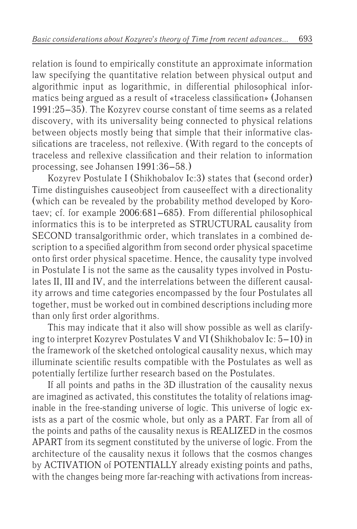relation is found to empirically constitute an approximate information law specifying the quantitative relation between physical output and algorithmic input as logarithmic, in differential philosophical informatics being argued as a result of «traceless classification» (Johansen 1991:25–35). The Kozyrev course constant of time seems as a related discovery, with its universality being connected to physical relations between objects mostly being that simple that their informative classifications are traceless, not reflexive. (With regard to the concepts of traceless and reflexive classification and their relation to information processing, see Johansen 1991:36–58.)

Kozyrev Postulate I (Shikhobalov Ic:3) states that (second order) Time distinguishes causeobject from causeeffect with a directionality (which can be revealed by the probability method developed by Korotaev; cf. for example 2006:681–685). From differential philosophical informatics this is to be interpreted as STRUCTURAL causality from SECOND transalgorithmic order, which translates in a combined description to a specified algorithm from second order physical spacetime onto first order physical spacetime. Hence, the causality type involved in Postulate I is not the same as the causality types involved in Postulates II, III and IV, and the interrelations between the different causality arrows and time categories encompassed by the four Postulates all together, must be worked out in combined descriptions including more than only first order algorithms.

This may indicate that it also will show possible as well as clarifying to interpret Kozyrev Postulates V and VI (Shikhobalov Ic: 5–10) in the framework of the sketched ontological causality nexus, which may illuminate scientific results compatible with the Postulates as well as potentially fertilize further research based on the Postulates.

If all points and paths in the 3D illustration of the causality nexus are imagined as activated, this constitutes the totality of relations imaginable in the free-standing universe of logic. This universe of logic exists as a part of the cosmic whole, but only as a PART. Far from all of the points and paths of the causality nexus is REALIZED in the cosmos APART from its segment constituted by the universe of logic. From the architecture of the causality nexus it follows that the cosmos changes by ACTIVATION of POTENTIALLY already existing points and paths, with the changes being more far-reaching with activations from increas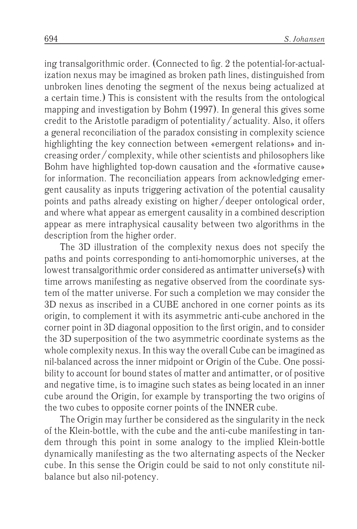ing transalgorithmic order. (Connected to fig. 2 the potential-for-actualization nexus may be imagined as broken path lines, distinguished from unbroken lines denoting the segment of the nexus being actualized at a certain time.) This is consistent with the results from the ontological mapping and investigation by Bohm (1997). In general this gives some credit to the Aristotle paradigm of potentiality/actuality. Also, it offers a general reconciliation of the paradox consisting in complexity science highlighting the key connection between «emergent relations» and increasing order/complexity, while other scientists and philosophers like Bohm have highlighted top-down causation and the «formative cause» for information. The reconciliation appears from acknowledging emergent causality as inputs triggering activation of the potential causality points and paths already existing on higher/deeper ontological order, and where what appear as emergent causality in a combined description appear as mere intraphysical causality between two algorithms in the description from the higher order.

The 3D illustration of the complexity nexus does not specify the paths and points corresponding to anti-homomorphic universes, at the lowest transalgorithmic order considered as antimatter universe(s) with time arrows manifesting as negative observed from the coordinate system of the matter universe. For such a completion we may consider the 3D nexus as inscribed in a CUBE anchored in one corner points as its origin, to complement it with its asymmetric anti-cube anchored in the corner point in 3D diagonal opposition to the first origin, and to consider the 3D superposition of the two asymmetric coordinate systems as the whole complexity nexus. In this way the overall Cube can be imagined as nil-balanced across the inner midpoint or Origin of the Cube. One possibility to account for bound states of matter and antimatter, or of positive and negative time, is to imagine such states as being located in an inner cube around the Origin, for example by transporting the two origins of the two cubes to opposite corner points of the INNER cube.

The Origin may further be considered as the singularity in the neck of the Klein-bottle, with the cube and the anti-cube manifesting in tandem through this point in some analogy to the implied Klein-bottle dynamically manifesting as the two alternating aspects of the Necker cube. In this sense the Origin could be said to not only constitute nilbalance but also nil-potency.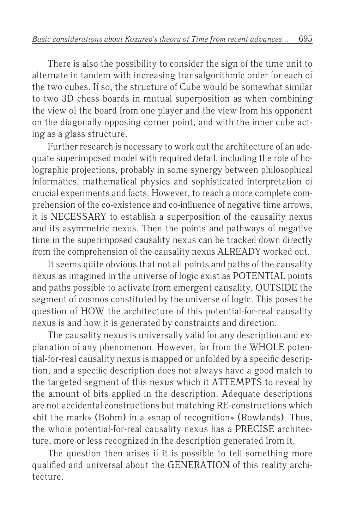There is also the possibility to consider the sign of the time unit to alternate in tandem with increasing transalgorithmic order for each of the two cubes. If so, the structure of Cube would be somewhat similar to two 3D chess boards in mutual superposition as when combining the view of the board from one player and the view from his opponent on the diagonally opposing corner point, and with the inner cube acting as a glass structure.

Further research is necessary to work out the architecture of an adequate superimposed model with required detail, including the role of holographic projections, probably in some synergy between philosophical informatics, mathematical physics and sophisticated interpretation of crucial experiments and facts. However, to reach a more complete comprehension of the co-existence and co-influence of negative time arrows, it is NECESSARY to establish a superposition of the causality nexus and its asymmetric nexus. Then the points and pathways of negative time in the superimposed causality nexus can be tracked down directly from the comprehension of the causality nexus ALREADY worked out.

It seems quite obvious that not all points and paths of the causality nexus as imagined in the universe of logic exist as POTENTIAL points and paths possible to activate from emergent causality, OUTSIDE the segment of cosmos constituted by the universe of logic. This poses the question of HOW the architecture of this potential-for-real causality nexus is and how it is generated by constraints and direction.

The causality nexus is universally valid for any description and explanation of any phenomenon. However, far from the WHOLE potential-for-real causality nexus is mapped or unfolded by a specific description, and a specific description does not always have a good match to the targeted segment of this nexus which it ATTEMPTS to reveal by the amount of bits applied in the description. Adequate descriptions are not accidental constructions but matching RE-constructions which «hit the mark» (Bohm) in a «snap of recognition» (Rowlands). Thus, the whole potential-for-real causality nexus has a PRECISE architecture, more or less recognized in the description generated from it.

The question then arises if it is possible to tell something more qualified and universal about the GENERATION of this reality architecture.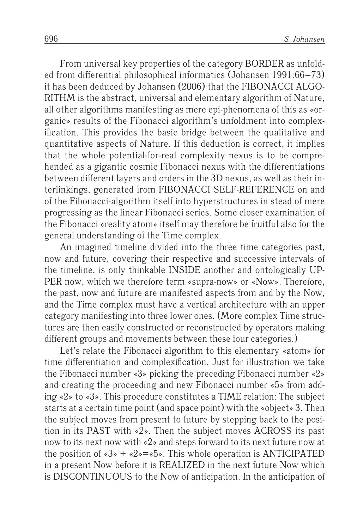From universal key properties of the category BORDER as unfolded from differential philosophical informatics (Johansen 1991:66–73) it has been deduced by Johansen (2006) that the FIBONACCI ALGO-RITHM is the abstract, universal and elementary algorithm of Nature, all other algorithms manifesting as mere epi-phenomena of this as «organic» results of the Fibonacci algorithm's unfoldment into complexification. This provides the basic bridge between the qualitative and quantitative aspects of Nature. If this deduction is correct, it implies that the whole potential-for-real complexity nexus is to be comprehended as a gigantic cosmic Fibonacci nexus with the differentiations between different layers and orders in the 3D nexus, as well as their interlinkings, generated from FIBONACCI SELF-REFERENCE on and of the Fibonacci-algorithm itself into hyperstructures in stead of mere progressing as the linear Fibonacci series. Some closer examination of the Fibonacci «reality atom» itself may therefore be fruitful also for the general understanding of the Time complex.

An imagined timeline divided into the three time categories past, now and future, covering their respective and successive intervals of the timeline, is only thinkable INSIDE another and ontologically UP-PER now, which we therefore term «supra-now» or «Now». Therefore, the past, now and future are manifested aspects from and by the Now, and the Time complex must have a vertical architecture with an upper category manifesting into three lower ones. (More complex Time structures are then easily constructed or reconstructed by operators making different groups and movements between these four categories.)

Let's relate the Fibonacci algorithm to this elementary «atom» for time differentiation and complexification. Just for illustration we take the Fibonacci number «3» picking the preceding Fibonacci number «2» and creating the proceeding and new Fibonacci number «5» from adding «2» to «3». This procedure constitutes a TIME relation: The subject starts at a certain time point (and space point) with the «object» 3. Then the subject moves from present to future by stepping back to the position in its PAST with «2». Then the subject moves ACROSS its past now to its next now with «2» and steps forward to its next future now at the position of  $\angle 3 \rightarrow \angle 2 \rightarrow = \angle 5 \rightarrow$ . This whole operation is ANTICIPATED in a present Now before it is REALIZED in the next future Now which is DISCONTINUOUS to the Now of anticipation. In the anticipation of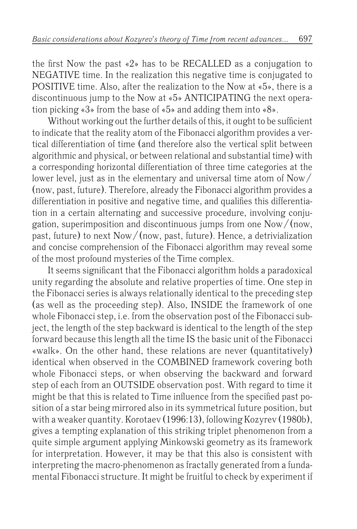the first Now the past  $\&2\&3$  has to be RECALLED as a conjugation to NEGATIVE time. In the realization this negative time is conjugated to POSITIVE time. Also, after the realization to the Now at «5», there is a discontinuous jump to the Now at «5» ANTICIPATING the next operation picking «3» from the base of «5» and adding them into «8».

Without working out the further details of this, it ought to be sufficient to indicate that the reality atom of the Fibonacci algorithm provides a vertical differentiation of time (and therefore also the vertical split between algorithmic and physical, or between relational and substantial time) with a corresponding horizontal differentiation of three time categories at the lower level, just as in the elementary and universal time atom of Now/ (now, past, future). Therefore, already the Fibonacci algorithm provides a differentiation in positive and negative time, and qualifies this differentiation in a certain alternating and successive procedure, involving conjugation, superimposition and discontinuous jumps from one  $Now/(now,$ past, future) to next Now/(now, past, future). Hence, a detrivialization and concise comprehension of the Fibonacci algorithm may reveal some of the most profound mysteries of the Time complex.

It seems significant that the Fibonacci algorithm holds a paradoxical unity regarding the absolute and relative properties of time. One step in the Fibonacci series is always relationally identical to the preceding step (as well as the proceeding step). Also, INSIDE the framework of one whole Fibonacci step, i.e. from the observation post of the Fibonacci subject, the length of the step backward is identical to the length of the step forward because this length all the time IS the basic unit of the Fibonacci «walk». On the other hand, these relations are never (quantitatively) identical when observed in the COMBINED framework covering both whole Fibonacci steps, or when observing the backward and forward step of each from an OUTSIDE observation post. With regard to time it might be that this is related to Time influence from the specified past position of a star being mirrored also in its symmetrical future position, but with a weaker quantity. Korotaev (1996:13), following Kozyrev (1980b), gives a tempting explanation of this striking triplet phenomenon from a quite simple argument applying Minkowski geometry as its framework for interpretation. However, it may be that this also is consistent with interpreting the macro-phenomenon as fractally generated from a fundamental Fibonacci structure. It might be fruitful to check by experiment if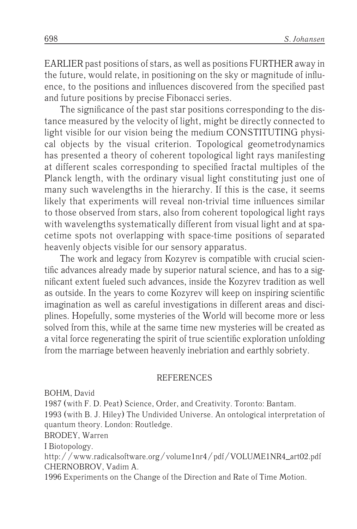EARLIER past positions of stars, as well as positions FURTHER away in the future, would relate, in positioning on the sky or magnitude of influence, to the positions and influences discovered from the specified past and future positions by precise Fibonacci series.

The significance of the past star positions corresponding to the distance measured by the velocity of light, might be directly connected to light visible for our vision being the medium CONSTITUTING physical objects by the visual criterion. Topological geometrodynamics has presented a theory of coherent topological light rays manifesting at different scales corresponding to specified fractal multiples of the Planck length, with the ordinary visual light constituting just one of many such wavelengths in the hierarchy. If this is the case, it seems likely that experiments will reveal non-trivial time influences similar to those observed from stars, also from coherent topological light rays with wavelengths systematically different from visual light and at spacetime spots not overlapping with space-time positions of separated heavenly objects visible for our sensory apparatus.

The work and legacy from Kozyrev is compatible with crucial scientific advances already made by superior natural science, and has to a significant extent fueled such advances, inside the Kozyrev tradition as well as outside. In the years to come Kozyrev will keep on inspiring scientific imagination as well as careful investigations in different areas and disciplines. Hopefully, some mysteries of the World will become more or less solved from this, while at the same time new mysteries will be created as a vital force regenerating the spirit of true scientific exploration unfolding from the marriage between heavenly inebriation and earthly sobriety.

#### REFERENCES

BOHM, David

1987 (with F. D. Peat) Science, Order, and Creativity. Toronto: Bantam.

1993 (with B. J. Hiley) The Undivided Universe. An ontological interpretation of quantum theory. London: Routledge.

BRODEY, Warren

I Biotopology.

http://www.radicalsoftware.org/volume1nr4/pdf/VOLUME1NR4\_art02.pdf CHERNOBROV, Vadim A.

1996 Experiments on the Change of the Direction and Rate of Time Motion.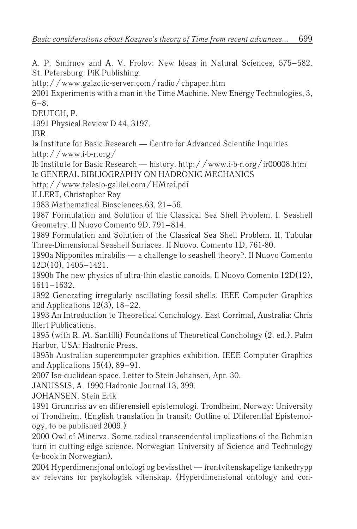A. P. Smirnov and A. V. Frolov: New Ideas in Natural Sciences, 575–582. St. Petersburg. PiK Publishing.

http://www.galactic-server.com/radio/chpaper.htm

2001 Experiments with a man in the Time Machine. New Energy Technologies, 3, 6–8.

DEUTCH, P.

1991 Physical Review D 44, 3197.

IBR

Ia Institute for Basic Research — Centre for Advanced Scientific Inquiries.

http://www.i-b-r.org/

Ib Institute for Basic Research — history. http://www.i-b-r.org/ir00008.htm Ic GENERAL BIBLIOGRAPHY ON HADRONIC MECHANICS

http://www.telesio-galilei.com/HMref.pdf

ILLERT, Christopher Roy

1983 Mathematical Biosciences 63, 21–56.

1987 Formulation and Solution of the Classical Sea Shell Problem. I. Seashell Geometry. II Nuovo Comento 9D, 791–814.

1989 Formulation and Solution of the Classical Sea Shell Problem. II. Tubular Three-Dimensional Seashell Surfaces. II Nuovo. Comento 1D, 761-80.

1990a Nipponites mirabilis — a challenge to seashell theory?. Il Nuovo Comento 12D(10), 1405–1421.

1990b The new physics of ultra-thin elastic conoids. Il Nuovo Comento 12D(12), 1611–1632.

1992 Generating irregularly oscillating fossil shells. IEEE Computer Graphics and Applications 12(3), 18–22.

1993 An Introduction to Theoretical Conchology. East Corrimal, Australia: Chris Illert Publications.

1995 (with R. M. Santilli) Foundations of Theoretical Conchology (2. ed.). Palm Harbor, USA: Hadronic Press.

1995b Australian supercomputer graphics exhibition. IEEE Computer Graphics and Applications 15(4), 89–91.

2007 Iso-euclidean space. Letter to Stein Johansen, Apr. 30.

JANUSSIS, A. 1990 Hadronic Journal 13, 399.

JOHANSEN, Stein Erik

1991 Grunnriss av en differensiell epistemologi. Trondheim, Norway: University of Trondheim. (English translation in transit: Outline of Differential Epistemology, to be published 2009.)

2000 Owl of Minerva. Some radical transcendental implications of the Bohmian turn in cutting-edge science. Norwegian University of Science and Technology (e-book in Norwegian).

2004 Hyperdimensjonal ontologi og bevissthet — frontvitenskapelige tankedrypp av relevans for psykologisk vitenskap. (Hyperdimensional ontology and con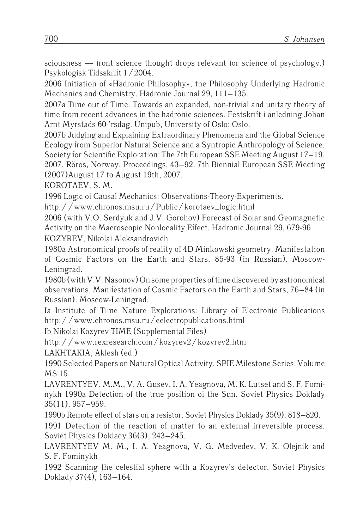sciousness — front science thought drops relevant for science of psychology.) Psykologisk Tidsskrift 1/2004.

2006 Initiation of «Hadronic Philosophy», the Philosophy Underlying Hadronic Mechanics and Chemistry. Hadronic Journal 29, 111–135.

2007a Time out of Time. Towards an expanded, non-trivial and unitary theory of time from recent advances in the hadronic sciences. Festskrift i anledning Johan Arnt Myrstads 60-'rsdag. Unipub, University of Oslo: Oslo.

2007b Judging and Explaining Extraordinary Phenomena and the Global Science Ecology from Superior Natural Science and a Syntropic Anthropology of Science. Society for Scientific Exploration: The 7th European SSE Meeting August 17–19, 2007, Röros, Norway. Proceedings, 43–92. 7th Biennial European SSE Meeting (2007)August 17 to August 19th, 2007.

KOROTAEV, S. M.

1996 Logic of Causal Mechanics: Observations-Theory-Experiments.

http://www.chronos.msu.ru/Public/korotaev\_logic.html

2006 (with V.O. Serdyuk and J.V. Gorohov) Forecast of Solar and Geomagnetic Activity on the Macroscopic Nonlocality Effect. Hadronic Journal 29, 679-96 KOZYREV, Nikolai Aleksandrovich

1980a Astronomical proofs of reality of 4D Minkowski geometry. Manifestation of Cosmic Factors on the Earth and Stars, 85-93 (in Russian). Moscow-Leningrad.

1980b (with V.V. Nasonov) On some properties of time discovered by astronomical observations. Manifestation of Cosmic Factors on the Earth and Stars, 76–84 (in Russian). Moscow-Leningrad.

Ia Institute of Time Nature Explorations: Library of Electronic Publications http://www.chronos.msu.ru/eelectropublications.html

Ib Nikolai Kozyrev TIME (Supplemental Files)

http://www.rexresearch.com/kozyrev2/kozyrev2.htm

LAKHTAKIA, Aklesh (ed.)

1990 Selected Papers on Natural Optical Activity. SPIE Milestone Series. Volume MS 15.

LAVRENTYEV, M.M., V. A. Gusev, I. A. Yeagnova, M. K. Lutset and S. F. Fominykh 1990a Detection of the true position of the Sun. Soviet Physics Doklady 35(11), 957–959.

1990b Remote effect of stars on a resistor. Soviet Physics Doklady 35(9), 818–820.

1991 Detection of the reaction of matter to an external irreversible process. Soviet Physics Doklady 36(3), 243–245.

LAVRENTYEV M. M., I. A. Yeagnova, V. G. Medvedev, V. K. Olejnik and S. F. Fominykh

1992 Scanning the celestial sphere with a Kozyrev's detector. Soviet Physics Doklady 37(4), 163–164.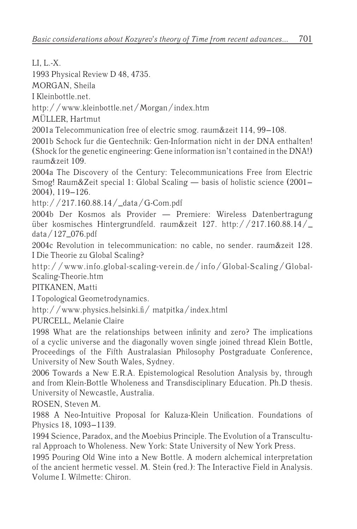LI, L.-X.

1993 Physical Review D 48, 4735.

MORGAN, Sheila

I Kleinbottle.net.

http://www.kleinbottle.net/Morgan/index.htm

MÜLLER, Hartmut

2001a Telecommunication free of electric smog. raum&zeit 114, 99–108.

2001b Schock fur die Gentechnik: Gen-Information nicht in der DNA enthalten! (Shock for the genetic engineering: Gene information isn't contained in the DNA!) raum&zeit 109.

2004a The Discovery of the Century: Telecommunications Free from Electric Smog! Raum&Zeit special 1: Global Scaling — basis of holistic science (2001– 2004), 119–126.

http://217.160.88.14/\_data/G-Com.pdf

2004b Der Kosmos als Provider — Premiere: Wireless Datenbertragung über kosmisches Hintergrundfeld. raum&zeit 127. http://217.160.88.14/ data/127\_076.pdf

2004c Revolution in telecommunication: no cable, no sender. raum&zeit 128. I Die Theorie zu Global Scaling?

http://www.info.global-scaling-verein.de/info/Global-Scaling/Global-Scaling-Theorie.htm

PITKANEN, Matti

I Topological Geometrodynamics.

http://www.physics.helsinki.fi / matpitka/index.html

PURCELL, Melanie Claire

1998 What are the relationships between infinity and zero? The implications of a cyclic universe and the diagonally woven single joined thread Klein Bottle, Proceedings of the Fifth Australasian Philosophy Postgraduate Conference, University of New South Wales, Sydney.

2006 Towards a New E.R.A. Epistemological Resolution Analysis by, through and from Klein-Bottle Wholeness and Transdisciplinary Education. Ph.D thesis. University of Newcastle, Australia.

ROSEN, Steven M.

1988 A Neo-Intuitive Proposal for Kaluza-Klein Unification. Foundations of Physics 18, 1093–1139.

1994 Science, Paradox, and the Moebius Principle. The Evolution of a Transcul tural Approach to Wholeness. New York: State University of New York Press.

1995 Pouring Old Wine into a New Bottle. A modern alchemical interpretation of the ancient hermetic vessel. M. Stein (red.): The Interactive Field in Analysis. Volume I. Wilmette: Chiron.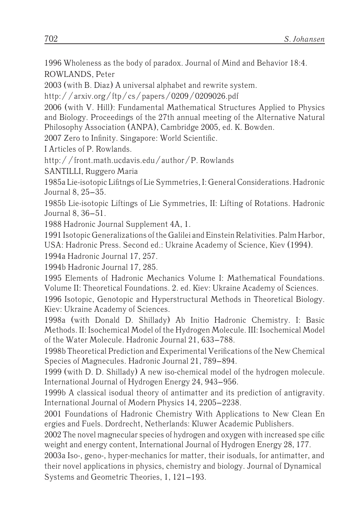1996 Wholeness as the body of paradox. Journal of Mind and Behavior 18:4. ROWLANDS, Peter

2003 (with B. Diaz) A universal alphabet and rewrite system.

http://arxiv.org/ftp/cs/papers/0209/0209026.pdf

2006 (with V. Hill): Fundamental Mathematical Structures Applied to Physics and Biology. Proceedings of the 27th annual meeting of the Alternative Natural Philosophy Association (ANPA), Cambridge 2005, ed. K. Bowden.

2007 Zero to Infinity. Singapore: World Scientific.

I Articles of P. Rowlands.

http://front.math.ucdavis.edu/author/P. Rowlands

SANTILLI, Ruggero Maria

1985a Lie-isotopic Lifitngs of Lie Symmetries, I: General Considerations. Hadronic Journal 8, 25–35.

1985b Lie-isotopic Liftings of Lie Symmetries, II: Lifting of Rotations. Hadronic Journal 8, 36–51.

1988 Hadronic Journal Supplement 4A, 1.

1991 Isotopic Generalizations of the Galilei and Einstein Relativities. Palm Harbor, USA: Hadronic Press. Second ed.: Ukraine Academy of Science, Kiev (1994).

1994a Hadronic Journal 17, 257.

1994b Hadronic Journal 17, 285.

1995 Elements of Hadronic Mechanics Volume I: Mathematical Foundations. Volume II: Theoretical Foundations. 2. ed. Kiev: Ukraine Academy of Sciences.

1996 Isotopic, Genotopic and Hyperstructural Methods in Theoretical Biology. Kiev: Ukraine Academy of Sciences.

1998a (with Donald D. Shillady) Ab Initio Hadronic Chemistry. I: Basic Methods. II: Isochemical Model of the Hydrogen Molecule. III: Isochemical Model of the Water Molecule. Hadronic Journal 21, 633–788.

1998b Theoretical Prediction and Experimental Verifications of the New Chemical Species of Magnecules. Hadronic Journal 21, 789–894.

1999 (with D. D. Shillady) A new iso-chemical model of the hydrogen molecule. International Journal of Hydrogen Energy 24, 943–956.

1999b A classical isodual theory of antimatter and its prediction of antigravity. International Journal of Modern Physics 14, 2205–2238.

2001 Foundations of Hadronic Chemistry With Applications to New Clean En ergies and Fuels. Dordrecht, Netherlands: Kluwer Academic Publishers.

2002 The novel magnecular species of hydrogen and oxygen with increased spe cific weight and energy content, International Journal of Hydrogen Energy 28, 177.

2003a Iso-, geno-, hyper-mechanics for matter, their isoduals, for antimatter, and their novel applications in physics, chemistry and biology. Journal of Dynamical Systems and Geometric Theories, 1, 121–193.